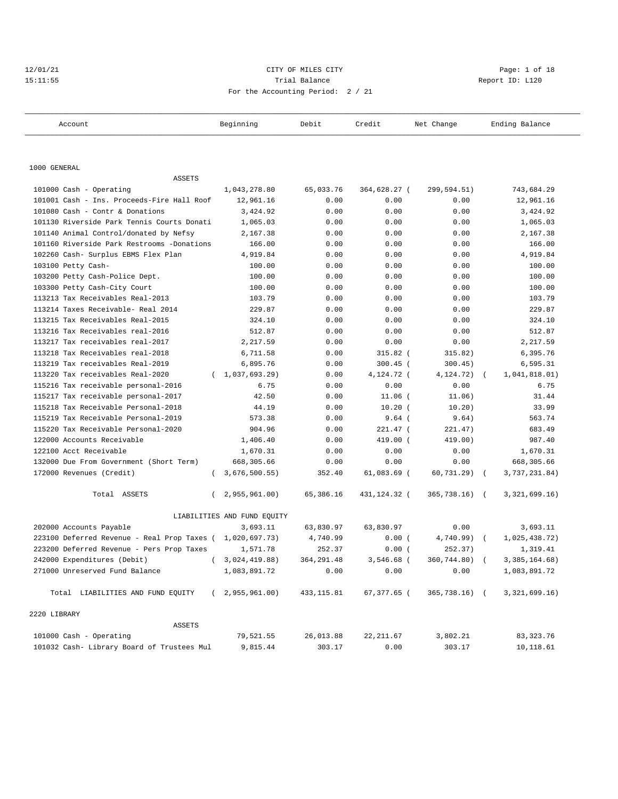## $12/01/21$  Page: 1 of 18  $21/01/21$  Page: 1 of 18  $21/01/21$ 15:11:55 Trial Balance Report ID: L120 For the Accounting Period: 2 / 21

| Account                                      | Beginning                   | Debit       | Credit        | Net Change     | Ending Balance  |
|----------------------------------------------|-----------------------------|-------------|---------------|----------------|-----------------|
|                                              |                             |             |               |                |                 |
| 1000 GENERAL                                 |                             |             |               |                |                 |
| <b>ASSETS</b>                                |                             |             |               |                |                 |
| 101000 Cash - Operating                      | 1,043,278.80                | 65,033.76   | 364,628.27 (  | 299,594.51)    | 743,684.29      |
| 101001 Cash - Ins. Proceeds-Fire Hall Roof   | 12,961.16                   | 0.00        | 0.00          | 0.00           | 12,961.16       |
| 101080 Cash - Contr & Donations              | 3,424.92                    | 0.00        | 0.00          | 0.00           | 3,424.92        |
| 101130 Riverside Park Tennis Courts Donati   | 1,065.03                    | 0.00        | 0.00          | 0.00           | 1,065.03        |
| 101140 Animal Control/donated by Nefsy       | 2,167.38                    | 0.00        | 0.00          | 0.00           | 2,167.38        |
| 101160 Riverside Park Restrooms -Donations   | 166.00                      | 0.00        | 0.00          | 0.00           | 166.00          |
| 102260 Cash- Surplus EBMS Flex Plan          | 4,919.84                    | 0.00        | 0.00          | 0.00           | 4,919.84        |
| 103100 Petty Cash-                           | 100.00                      | 0.00        | 0.00          | 0.00           | 100.00          |
| 103200 Petty Cash-Police Dept.               | 100.00                      | 0.00        | 0.00          | 0.00           | 100.00          |
| 103300 Petty Cash-City Court                 | 100.00                      | 0.00        | 0.00          | 0.00           | 100.00          |
| 113213 Tax Receivables Real-2013             | 103.79                      | 0.00        | 0.00          | 0.00           | 103.79          |
| 113214 Taxes Receivable- Real 2014           | 229.87                      | 0.00        | 0.00          | 0.00           | 229.87          |
| 113215 Tax Receivables Real-2015             | 324.10                      | 0.00        | 0.00          | 0.00           | 324.10          |
| 113216 Tax Receivables real-2016             | 512.87                      | 0.00        | 0.00          | 0.00           | 512.87          |
| 113217 Tax receivables real-2017             | 2,217.59                    | 0.00        | 0.00          | 0.00           | 2,217.59        |
| 113218 Tax Receivables real-2018             | 6,711.58                    | 0.00        | $315.82$ (    | 315.82)        | 6,395.76        |
| 113219 Tax receivables Real-2019             | 6,895.76                    | 0.00        | $300.45$ (    | 300.45)        | 6,595.31        |
| 113220 Tax receivables Real-2020<br>$\left($ | 1,037,693.29)               | 0.00        | 4,124.72 (    | 4,124.72)      | 1,041,818.01)   |
| 115216 Tax receivable personal-2016          | 6.75                        | 0.00        | 0.00          | 0.00           | 6.75            |
| 115217 Tax receivable personal-2017          | 42.50                       | 0.00        | $11.06$ (     | 11.06)         | 31.44           |
| 115218 Tax Receivable Personal-2018          | 44.19                       | 0.00        | $10.20$ (     | 10.20)         | 33.99           |
| 115219 Tax Receivable Personal-2019          | 573.38                      | 0.00        | $9.64$ (      | 9.64)          | 563.74          |
| 115220 Tax Receivable Personal-2020          | 904.96                      | 0.00        | 221.47 (      | 221.47)        | 683.49          |
| 122000 Accounts Receivable                   | 1,406.40                    | 0.00        | 419.00 (      | 419.00)        | 987.40          |
| 122100 Acct Receivable                       | 1,670.31                    | 0.00        | 0.00          | 0.00           | 1,670.31        |
| 132000 Due From Government (Short Term)      | 668,305.66                  | 0.00        | 0.00          | 0.00           | 668,305.66      |
| 172000 Revenues (Credit)<br>$\left($         | 3,676,500.55)               | 352.40      | $61,083.69$ ( | $60, 731.29$ ( | 3,737,231.84)   |
| Total ASSETS                                 | 2,955,961.00)               | 65,386.16   | 431,124.32 (  | 365,738.16) (  | 3,321,699.16)   |
|                                              | LIABILITIES AND FUND EQUITY |             |               |                |                 |
| 202000 Accounts Payable                      | 3,693.11                    | 63,830.97   | 63,830.97     | 0.00           | 3,693.11        |
| 223100 Deferred Revenue - Real Prop Taxes (  | 1,020,697.73)               | 4,740.99    | 0.00(         | 4,740.99)      | 1,025,438.72)   |
| 223200 Deferred Revenue - Pers Prop Taxes    | 1,571.78                    | 252.37      | 0.00(         | 252.37)        | 1,319.41        |
| 242000 Expenditures (Debit)                  | (3,024,419.88)              | 364, 291.48 | 3,546.68 (    | 360,744.80) (  | 3, 385, 164.68) |
| 271000 Unreserved Fund Balance               | 1,083,891.72                | 0.00        | 0.00          | 0.00           | 1,083,891.72    |
| Total LIABILITIES AND FUND EQUITY            | (2, 955, 961.00)            | 433, 115.81 | 67,377.65 (   | 365,738.16) (  | 3,321,699.16)   |
| 2220 LIBRARY                                 |                             |             |               |                |                 |
| ASSETS                                       |                             |             |               |                |                 |
| 101000 Cash - Operating                      | 79,521.55                   | 26,013.88   | 22, 211.67    | 3,802.21       | 83, 323. 76     |
| 101032 Cash- Library Board of Trustees Mul   | 9,815.44                    | 303.17      | 0.00          | 303.17         | 10,118.61       |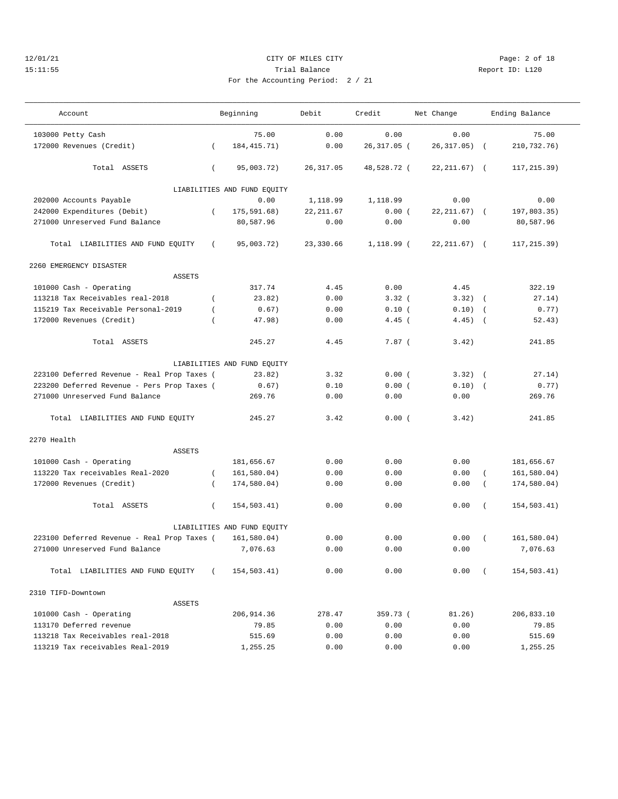#### 12/01/21 CITY OF MILES CITY Page: 2 of 18 15:11:55 Trial Balance Report ID: L120 For the Accounting Period: 2 / 21

| Account                                     |                | Beginning                   | Debit      | Credit       | Net Change       |                  | Ending Balance |
|---------------------------------------------|----------------|-----------------------------|------------|--------------|------------------|------------------|----------------|
| 103000 Petty Cash                           |                | 75.00                       | 0.00       | 0.00         | 0.00             |                  | 75.00          |
| 172000 Revenues (Credit)                    | $\left($       | 184, 415. 71)               | 0.00       | 26,317.05 (  | 26, 317.05)      | $\sqrt{ }$       | 210,732.76)    |
| Total ASSETS                                | $\left($       | 95,003.72)                  | 26, 317.05 | 48,528.72 (  | $22, 211.67$ ) ( |                  | 117, 215.39)   |
|                                             |                | LIABILITIES AND FUND EQUITY |            |              |                  |                  |                |
| 202000 Accounts Payable                     |                | 0.00                        | 1,118.99   | 1,118.99     | 0.00             |                  | 0.00           |
| 242000 Expenditures (Debit)                 | $\left($       | 175,591.68)                 | 22, 211.67 | 0.00(        | 22, 211, 67)     | $\sqrt{2}$       | 197,803.35)    |
| 271000 Unreserved Fund Balance              |                | 80,587.96                   | 0.00       | 0.00         | 0.00             |                  | 80,587.96      |
| Total LIABILITIES AND FUND EQUITY           | $\left($       | 95,003.72)                  | 23,330.66  | $1,118.99$ ( | $22, 211.67$ (   |                  | 117,215.39)    |
| 2260 EMERGENCY DISASTER                     |                |                             |            |              |                  |                  |                |
| ASSETS                                      |                |                             |            |              |                  |                  |                |
| 101000 Cash - Operating                     |                | 317.74                      | 4.45       | 0.00         | 4.45             |                  | 322.19         |
| 113218 Tax Receivables real-2018            | $\left($       | 23.82)                      | 0.00       | 3.32(        | 3.32)            | $\sqrt{2}$       | 27.14)         |
| 115219 Tax Receivable Personal-2019         | $\overline{ }$ | 0.67)                       | 0.00       | 0.10(        | 0.10)            | $\sqrt{ }$       | 0.77)          |
| 172000 Revenues (Credit)                    | $\overline{ }$ | 47.98)                      | 0.00       | $4.45$ (     | 4.45)            | $\sqrt{ }$       | 52.43)         |
| Total ASSETS                                |                | 245.27                      | 4.45       | $7.87$ (     | 3.42)            |                  | 241.85         |
|                                             |                | LIABILITIES AND FUND EQUITY |            |              |                  |                  |                |
| 223100 Deferred Revenue - Real Prop Taxes ( |                | 23.82)                      | 3.32       | 0.00(        | $3.32)$ (        |                  | 27.14)         |
| 223200 Deferred Revenue - Pers Prop Taxes ( |                | 0.67)                       | 0.10       | 0.00(        | 0.10)            | $\sqrt{ }$       | 0.77)          |
| 271000 Unreserved Fund Balance              |                | 269.76                      | 0.00       | 0.00         | 0.00             |                  | 269.76         |
| Total LIABILITIES AND FUND EQUITY           |                | 245.27                      | 3.42       | 0.00(        | 3.42)            |                  | 241.85         |
| 2270 Health                                 |                |                             |            |              |                  |                  |                |
| ASSETS                                      |                |                             |            |              |                  |                  |                |
| 101000 Cash - Operating                     |                | 181,656.67                  | 0.00       | 0.00         | 0.00             |                  | 181,656.67     |
| 113220 Tax receivables Real-2020            | $\left($       | 161, 580.04)                | 0.00       | 0.00         | 0.00             | $\left($         | 161,580.04)    |
| 172000 Revenues (Credit)                    | $\left($       | 174,580.04)                 | 0.00       | 0.00         | 0.00             | $\overline{(\ }$ | 174,580.04)    |
| Total ASSETS                                | $\left($       | 154,503.41)                 | 0.00       | 0.00         | 0.00             | $\left($         | 154,503.41)    |
|                                             |                | LIABILITIES AND FUND EQUITY |            |              |                  |                  |                |
| 223100 Deferred Revenue - Real Prop Taxes ( |                | 161,580.04)                 | 0.00       | 0.00         | 0.00             | $\left($         | 161, 580.04)   |
| 271000 Unreserved Fund Balance              |                | 7,076.63                    | 0.00       | 0.00         | 0.00             |                  | 7,076.63       |
| Total LIABILITIES AND FUND EOUITY           | $\left($       | 154,503.41)                 | 0.00       | 0.00         | 0.00             | $\left($         | 154,503.41)    |

 2310 TIFD-Downtown ASSETS 101000 Cash - Operating 206,914.36 278.47 359.73 ( 81.26) 206,833.10 113170 Deferred revenue 79.85 0.00 0.00 0.00 79.85 113218 Tax Receivables real-2018 515.69 0.00 0.00 0.00 515.69 113219 Tax receivables Real-2019 1,255.25 0.00 0.00 0.00 1,255.25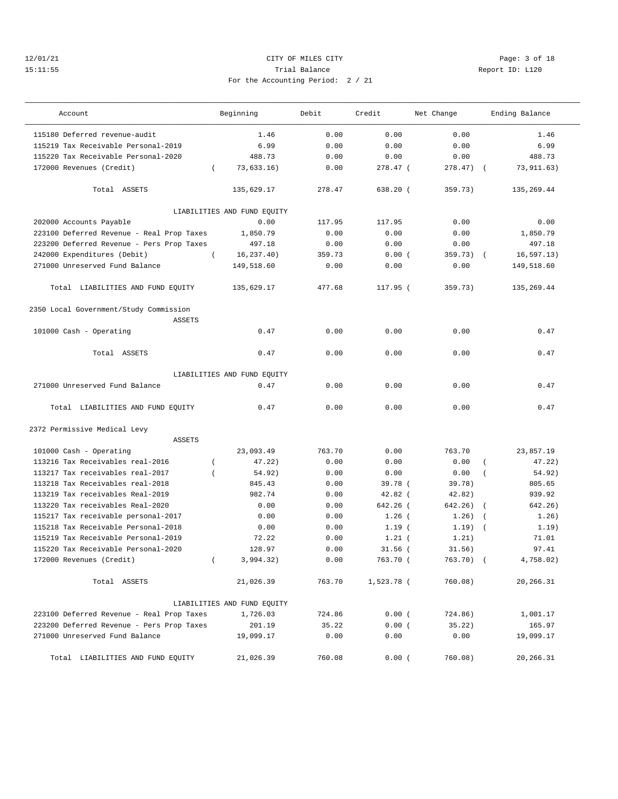## 12/01/21 CITY OF MILES CITY Page: 3 of 18 15:11:55 Trial Balance Report ID: L120 For the Accounting Period: 2 / 21

| Account                                                 | Beginning                   | Debit  | Credit     | Net Change   | Ending Balance        |
|---------------------------------------------------------|-----------------------------|--------|------------|--------------|-----------------------|
| 115180 Deferred revenue-audit                           | 1.46                        | 0.00   | 0.00       | 0.00         | 1.46                  |
| 115219 Tax Receivable Personal-2019                     | 6.99                        | 0.00   | 0.00       | 0.00         | 6.99                  |
| 115220 Tax Receivable Personal-2020                     | 488.73                      | 0.00   | 0.00       | 0.00         | 488.73                |
| 172000 Revenues (Credit)<br>$\left($                    | 73,633.16)                  | 0.00   | 278.47 (   | $278.47$ ) ( | 73, 911. 63)          |
|                                                         |                             |        |            |              |                       |
| Total ASSETS                                            | 135,629.17                  | 278.47 | 638.20 (   | 359.73)      | 135,269.44            |
|                                                         | LIABILITIES AND FUND EQUITY |        |            |              |                       |
| 202000 Accounts Payable                                 | 0.00                        | 117.95 | 117.95     | 0.00         | 0.00                  |
| 223100 Deferred Revenue - Real Prop Taxes               | 1,850.79                    | 0.00   | 0.00       | 0.00         | 1,850.79              |
| 223200 Deferred Revenue - Pers Prop Taxes               | 497.18                      | 0.00   | 0.00       | 0.00         | 497.18                |
| 242000 Expenditures (Debit)<br>$\overline{ }$           | 16, 237.40)                 | 359.73 | 0.00(      | 359.73)      | 16, 597.13)           |
| 271000 Unreserved Fund Balance                          | 149,518.60                  | 0.00   | 0.00       | 0.00         | 149,518.60            |
| Total LIABILITIES AND FUND EQUITY                       | 135,629.17                  | 477.68 | 117.95 (   | 359.73)      | 135,269.44            |
| 2350 Local Government/Study Commission<br><b>ASSETS</b> |                             |        |            |              |                       |
| 101000 Cash - Operating                                 | 0.47                        | 0.00   | 0.00       | 0.00         | 0.47                  |
| Total ASSETS                                            | 0.47                        | 0.00   | 0.00       | 0.00         | 0.47                  |
|                                                         | LIABILITIES AND FUND EQUITY |        |            |              |                       |
| 271000 Unreserved Fund Balance                          | 0.47                        | 0.00   | 0.00       | 0.00         | 0.47                  |
| Total LIABILITIES AND FUND EQUITY                       | 0.47                        | 0.00   | 0.00       | 0.00         | 0.47                  |
| 2372 Permissive Medical Levy<br><b>ASSETS</b>           |                             |        |            |              |                       |
|                                                         |                             | 763.70 |            |              |                       |
| 101000 Cash - Operating                                 | 23,093.49                   |        | 0.00       | 763.70       | 23,857.19             |
| 113216 Tax Receivables real-2016<br>$\overline{ }$      | 47.22)                      | 0.00   | 0.00       | 0.00         | 47.22)                |
| 113217 Tax receivables real-2017                        | 54.92)                      | 0.00   | 0.00       | 0.00         | 54.92)                |
| 113218 Tax Receivables real-2018                        | 845.43                      | 0.00   | 39.78 (    | 39.78)       | 805.65                |
| 113219 Tax receivables Real-2019                        | 982.74                      | 0.00   | $42.82$ (  | 42.82)       | 939.92                |
| 113220 Tax receivables Real-2020                        | 0.00                        | 0.00   | $642.26$ ( | 642.26)      | 642.26)<br>$\sqrt{2}$ |
| 115217 Tax receivable personal-2017                     | 0.00                        | 0.00   | $1.26$ (   | 1.26)        | 1.26)<br>$\sqrt{ }$   |
| 115218 Tax Receivable Personal-2018                     | 0.00                        | 0.00   | 1.19(      | 1.19)        | 1.19)                 |
| 115219 Tax Receivable Personal-2019                     | 72.22                       | 0.00   | $1.21$ (   | 1.21)        | 71.01                 |
| 115220 Tax Receivable Personal-2020                     | 128.97                      | 0.00   | $31.56$ (  | 31.56)       | 97.41                 |
| 172000 Revenues (Credit)<br>$\left($                    | 3,994.32)                   | 0.00   | 763.70 (   | 763.70) (    | 4,758.02)             |
| Total ASSETS                                            | 21,026.39                   | 763.70 | 1,523.78 ( | 760.08)      | 20,266.31             |
|                                                         | LIABILITIES AND FUND EQUITY |        |            |              |                       |
| 223100 Deferred Revenue - Real Prop Taxes               | 1,726.03                    | 724.86 | 0.00(      | 724.86)      | 1,001.17              |
| 223200 Deferred Revenue - Pers Prop Taxes               | 201.19                      | 35.22  | 0.00(      | 35.22)       | 165.97                |
| 271000 Unreserved Fund Balance                          | 19,099.17                   | 0.00   | 0.00       | 0.00         | 19,099.17             |
| Total LIABILITIES AND FUND EQUITY                       | 21,026.39                   | 760.08 | 0.00(      | 760.08)      | 20,266.31             |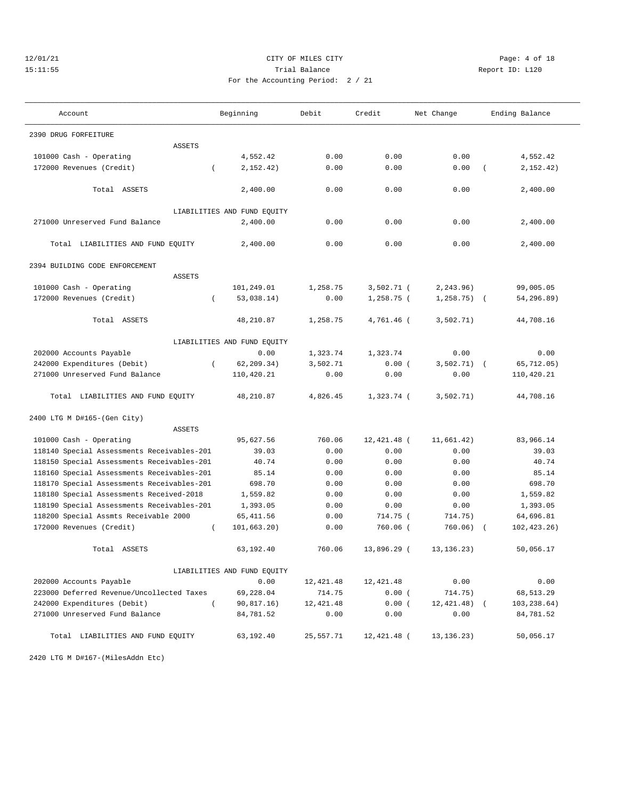## 12/01/21 CITY OF MILES CITY Page: 4 of 18 15:11:55 Trial Balance Report ID: L120 For the Accounting Period: 2 / 21

| Account                                    | Beginning                   | Debit      | Credit       | Net Change    | Ending Balance         |
|--------------------------------------------|-----------------------------|------------|--------------|---------------|------------------------|
| 2390 DRUG FORFEITURE                       |                             |            |              |               |                        |
| <b>ASSETS</b>                              |                             |            |              |               |                        |
| 101000 Cash - Operating                    | 4,552.42                    | 0.00       | 0.00         | 0.00          | 4,552.42               |
| 172000 Revenues (Credit)                   | 2,152.42)<br>$\left($       | 0.00       | 0.00         | 0.00          | 2, 152.42)<br>$\left($ |
| Total ASSETS                               | 2,400.00                    | 0.00       | 0.00         | 0.00          | 2,400.00               |
|                                            | LIABILITIES AND FUND EQUITY |            |              |               |                        |
| 271000 Unreserved Fund Balance             | 2,400.00                    | 0.00       | 0.00         | 0.00          | 2,400.00               |
| Total LIABILITIES AND FUND EQUITY          | 2,400.00                    | 0.00       | 0.00         | 0.00          | 2,400.00               |
| 2394 BUILDING CODE ENFORCEMENT             |                             |            |              |               |                        |
| <b>ASSETS</b>                              |                             |            |              |               |                        |
| 101000 Cash - Operating                    | 101,249.01                  | 1,258.75   | $3,502.71$ ( | 2, 243.96)    | 99,005.05              |
| 172000 Revenues (Credit)                   | 53,038.14)<br>$\left($      | 0.00       | $1,258.75$ ( | $1, 258.75$ ( | 54,296.89)             |
| Total ASSETS                               | 48,210.87                   | 1,258.75   | 4,761.46 (   | 3,502.71)     | 44,708.16              |
|                                            | LIABILITIES AND FUND EQUITY |            |              |               |                        |
| 202000 Accounts Payable                    | 0.00                        | 1,323.74   | 1,323.74     | 0.00          | 0.00                   |
| 242000 Expenditures (Debit)                | 62, 209.34)<br>$\left($     | 3,502.71   | 0.00(        | 3,502.71)     | 65, 712, 05)           |
| 271000 Unreserved Fund Balance             | 110,420.21                  | 0.00       | 0.00         | 0.00          | 110,420.21             |
| Total LIABILITIES AND FUND EQUITY          | 48,210.87                   | 4,826.45   | 1,323.74 (   | 3,502.71)     | 44,708.16              |
| 2400 LTG M D#165-(Gen City)                |                             |            |              |               |                        |
| <b>ASSETS</b>                              |                             |            |              |               |                        |
| 101000 Cash - Operating                    | 95,627.56                   | 760.06     | 12,421.48 (  | 11,661.42)    | 83,966.14              |
| 118140 Special Assessments Receivables-201 | 39.03                       | 0.00       | 0.00         | 0.00          | 39.03                  |
| 118150 Special Assessments Receivables-201 | 40.74                       | 0.00       | 0.00         | 0.00          | 40.74                  |
| 118160 Special Assessments Receivables-201 | 85.14                       | 0.00       | 0.00         | 0.00          | 85.14                  |
| 118170 Special Assessments Receivables-201 | 698.70                      | 0.00       | 0.00         | 0.00          | 698.70                 |
| 118180 Special Assessments Received-2018   | 1,559.82                    | 0.00       | 0.00         | 0.00          | 1,559.82               |
| 118190 Special Assessments Receivables-201 | 1,393.05                    | 0.00       | 0.00         | 0.00          | 1,393.05               |
| 118200 Special Assmts Receivable 2000      | 65, 411.56                  | 0.00       | 714.75 (     | 714.75)       | 64,696.81              |
| 172000 Revenues (Credit)                   | 101,663.20)<br>$\left($     | 0.00       | 760.06 (     | 760.06)       | 102, 423.26)           |
| Total ASSETS                               | 63,192.40                   | 760.06     | 13,896.29 (  | 13, 136, 23)  | 50,056.17              |
|                                            | LIABILITIES AND FUND EQUITY |            |              |               |                        |
| 202000 Accounts Payable                    | 0.00                        | 12,421.48  | 12, 421.48   | 0.00          | 0.00                   |
| 223000 Deferred Revenue/Uncollected Taxes  | 69,228.04                   | 714.75     | 0.00(        | 714.75)       | 68,513.29              |
| 242000 Expenditures (Debit)                | $\left($<br>90, 817.16)     | 12, 421.48 | 0.00(        | $12,421.48$ ( | 103, 238.64)           |
| 271000 Unreserved Fund Balance             | 84,781.52                   | 0.00       | 0.00         | 0.00          | 84,781.52              |
| Total LIABILITIES AND FUND EQUITY          | 63,192.40                   | 25,557.71  | 12,421.48 (  | 13, 136. 23)  | 50,056.17              |

2420 LTG M D#167-(MilesAddn Etc)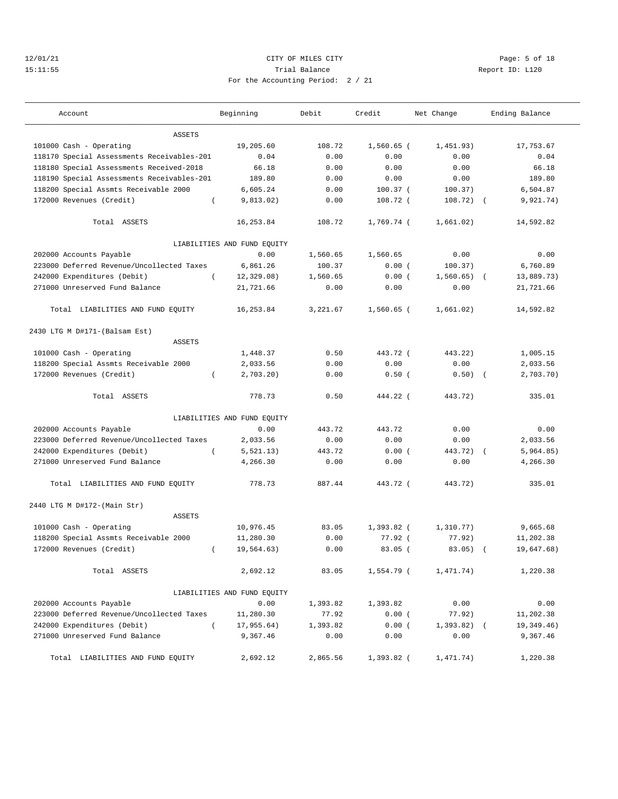## 12/01/21 CITY OF MILES CITY Page: 5 of 18 15:11:55 Trial Balance Report ID: L120 For the Accounting Period: 2 / 21

———————————————————————————————————————————————————————————————————————————————————————————————————————————————————————————————————

| Account                                    | Beginning                   | Debit    | Credit       | Net Change   | Ending Balance |
|--------------------------------------------|-----------------------------|----------|--------------|--------------|----------------|
| ASSETS                                     |                             |          |              |              |                |
| 101000 Cash - Operating                    | 19,205.60                   | 108.72   | $1,560.65$ ( | 1,451.93)    | 17,753.67      |
| 118170 Special Assessments Receivables-201 | 0.04                        | 0.00     | 0.00         | 0.00         | 0.04           |
| 118180 Special Assessments Received-2018   | 66.18                       | 0.00     | 0.00         | 0.00         | 66.18          |
| 118190 Special Assessments Receivables-201 | 189.80                      | 0.00     | 0.00         | 0.00         | 189.80         |
| 118200 Special Assmts Receivable 2000      | 6,605.24                    | 0.00     | $100.37$ (   | 100.37)      | 6,504.87       |
| 172000 Revenues (Credit)<br>$\left($       | 9,813.02)                   | 0.00     | 108.72 (     | $108.72)$ (  | 9,921.74)      |
| Total ASSETS                               | 16,253.84                   | 108.72   | 1,769.74 (   | 1,661.02)    | 14,592.82      |
|                                            | LIABILITIES AND FUND EQUITY |          |              |              |                |
| 202000 Accounts Payable                    | 0.00                        | 1,560.65 | 1,560.65     | 0.00         | 0.00           |
| 223000 Deferred Revenue/Uncollected Taxes  | 6,861.26                    | 100.37   | 0.00(        | 100.37)      | 6,760.89       |
| 242000 Expenditures (Debit)                | 12, 329.08)                 | 1,560.65 | 0.00(        | 1,560.65)    | 13,889.73)     |
| 271000 Unreserved Fund Balance             | 21,721.66                   | 0.00     | 0.00         | 0.00         | 21,721.66      |
| Total LIABILITIES AND FUND EQUITY          | 16,253.84                   | 3,221.67 | $1,560.65$ ( | 1,661.02)    | 14,592.82      |
| 2430 LTG M D#171-(Balsam Est)              |                             |          |              |              |                |
| ASSETS                                     |                             |          |              |              |                |
| 101000 Cash - Operating                    | 1,448.37                    | 0.50     | 443.72 (     | 443.22)      | 1,005.15       |
| 118200 Special Assmts Receivable 2000      | 2,033.56                    | 0.00     | 0.00         | 0.00         | 2,033.56       |
| 172000 Revenues (Credit)<br>$\left($       | 2,703.20                    | 0.00     | 0.50(        | $0.50)$ (    | 2,703.70)      |
| Total ASSETS                               | 778.73                      | 0.50     | 444.22 (     | 443.72)      | 335.01         |
|                                            | LIABILITIES AND FUND EQUITY |          |              |              |                |
| 202000 Accounts Payable                    | 0.00                        | 443.72   | 443.72       | 0.00         | 0.00           |
| 223000 Deferred Revenue/Uncollected Taxes  | 2,033.56                    | 0.00     | 0.00         | 0.00         | 2,033.56       |
| 242000 Expenditures (Debit)<br>$\left($    | 5, 521.13)                  | 443.72   | 0.00(        | 443.72) (    | 5,964.85)      |
| 271000 Unreserved Fund Balance             | 4,266.30                    | 0.00     | 0.00         | 0.00         | 4,266.30       |
| Total LIABILITIES AND FUND EQUITY          | 778.73                      | 887.44   | 443.72 (     | 443.72)      | 335.01         |
| 2440 LTG M D#172-(Main Str)                |                             |          |              |              |                |
| ASSETS                                     |                             |          |              |              |                |
| 101000 Cash - Operating                    | 10,976.45                   | 83.05    | $1,393.82$ ( | 1,310.77)    | 9,665.68       |
| 118200 Special Assmts Receivable 2000      | 11,280.30                   | 0.00     | $77.92$ (    | 77.92)       | 11,202.38      |
| 172000 Revenues (Credit)<br>$\left($       | 19,564.63)                  | 0.00     | $83.05$ (    | 83.05)       | 19,647.68)     |
| Total ASSETS                               | 2,692.12                    | 83.05    | 1,554.79 (   | 1,471.74)    | 1,220.38       |
|                                            | LIABILITIES AND FUND EQUITY |          |              |              |                |
| 202000 Accounts Payable                    | 0.00                        | 1,393.82 | 1,393.82     | 0.00         | 0.00           |
| 223000 Deferred Revenue/Uncollected Taxes  | 11,280.30                   | 77.92    | 0.00(        | 77.92)       | 11,202.38      |
| 242000 Expenditures (Debit)<br>$\left($    | 17,955.64)                  | 1,393.82 | 0.00(        | $1,393.82$ ( | 19, 349.46)    |
| 271000 Unreserved Fund Balance             | 9,367.46                    | 0.00     | 0.00         | 0.00         | 9,367.46       |
| Total LIABILITIES AND FUND EQUITY          | 2,692.12                    | 2,865.56 | 1,393.82 (   | 1,471.74)    | 1,220.38       |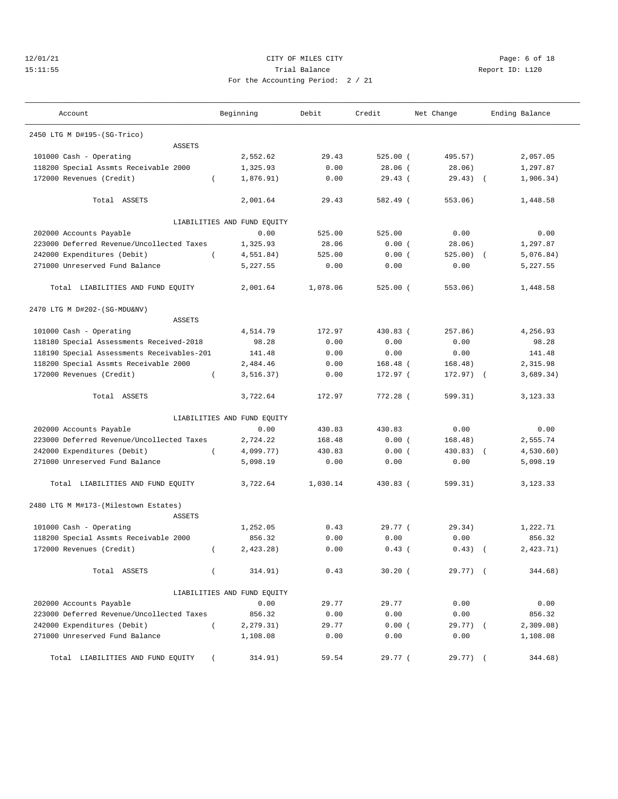## 12/01/21 CITY OF MILES CITY Page: 6 of 18 15:11:55 Trial Balance Report ID: L120 For the Accounting Period: 2 / 21

| Account                                    | Beginning                   | Debit    | Credit     | Net Change | Ending Balance          |
|--------------------------------------------|-----------------------------|----------|------------|------------|-------------------------|
| 2450 LTG M D#195-(SG-Trico)                |                             |          |            |            |                         |
| <b>ASSETS</b>                              |                             |          |            |            |                         |
| 101000 Cash - Operating                    | 2,552.62                    | 29.43    | $525.00$ ( | 495.57)    | 2,057.05                |
| 118200 Special Assmts Receivable 2000      | 1,325.93                    | 0.00     | $28.06$ (  | 28.06)     | 1,297.87                |
| 172000 Revenues (Credit)                   | 1,876.91)                   | 0.00     | 29.43(     | 29.43)     | 1,906.34)<br>$\sqrt{ }$ |
| Total ASSETS                               | 2,001.64                    | 29.43    | 582.49 (   | 553.06)    | 1,448.58                |
|                                            | LIABILITIES AND FUND EQUITY |          |            |            |                         |
| 202000 Accounts Payable                    | 0.00                        | 525.00   | 525.00     | 0.00       | 0.00                    |
| 223000 Deferred Revenue/Uncollected Taxes  | 1,325.93                    | 28.06    | 0.00(      | 28.06)     | 1,297.87                |
| 242000 Expenditures (Debit)<br>$\left($    | 4,551.84)                   | 525.00   | 0.00(      | 525.00)    | 5,076.84)               |
| 271000 Unreserved Fund Balance             | 5,227.55                    | 0.00     | 0.00       | 0.00       | 5,227.55                |
|                                            |                             |          |            |            |                         |
| Total LIABILITIES AND FUND EQUITY          | 2,001.64                    | 1,078.06 | $525.00$ ( | 553.06)    | 1,448.58                |
| 2470 LTG M D#202-(SG-MDU&NV)               |                             |          |            |            |                         |
| <b>ASSETS</b>                              |                             |          |            |            |                         |
| 101000 Cash - Operating                    | 4,514.79                    | 172.97   | 430.83 (   | 257.86)    | 4,256.93                |
| 118180 Special Assessments Received-2018   | 98.28                       | 0.00     | 0.00       | 0.00       | 98.28                   |
| 118190 Special Assessments Receivables-201 | 141.48                      | 0.00     | 0.00       | 0.00       | 141.48                  |
| 118200 Special Assmts Receivable 2000      | 2,484.46                    | 0.00     | $168.48$ ( | 168.48)    | 2,315.98                |
| 172000 Revenues (Credit)                   | 3, 516.37)                  | 0.00     | 172.97 (   | $172.97$ ( | 3,689.34)               |
| Total ASSETS                               | 3,722.64                    | 172.97   | 772.28 (   | 599.31)    | 3,123.33                |
|                                            | LIABILITIES AND FUND EQUITY |          |            |            |                         |
| 202000 Accounts Payable                    | 0.00                        | 430.83   | 430.83     | 0.00       | 0.00                    |
| 223000 Deferred Revenue/Uncollected Taxes  | 2,724.22                    | 168.48   | 0.00(      | 168.48)    | 2,555.74                |
| 242000 Expenditures (Debit)<br>$\left($    | 4,099.77)                   | 430.83   | 0.00(      | 430.83)    | 4,530.60)<br>$\sqrt{ }$ |
| 271000 Unreserved Fund Balance             | 5,098.19                    | 0.00     | 0.00       | 0.00       | 5,098.19                |
| Total LIABILITIES AND FUND EQUITY          | 3,722.64                    | 1,030.14 | 430.83 (   | 599.31)    | 3,123.33                |
| 2480 LTG M M#173-(Milestown Estates)       |                             |          |            |            |                         |
| ASSETS                                     | 1,252.05                    | 0.43     | 29.77 (    | 29.34)     | 1,222.71                |
| 101000 Cash - Operating                    |                             |          |            |            | 856.32                  |
| 118200 Special Assmts Receivable 2000      | 856.32                      | 0.00     | 0.00       | 0.00       |                         |
| 172000 Revenues (Credit)<br>$\left($       | $2,423.28$ )                | 0.00     | $0.43$ (   | 0.43)      | 2,423.71)               |
| Total ASSETS                               | 314.91)<br>$\left($         | 0.43     | $30.20$ (  | $29.77)$ ( | 344.68)                 |
|                                            | LIABILITIES AND FUND EQUITY |          |            |            |                         |
| 202000 Accounts Payable                    | 0.00                        | 29.77    | 29.77      | 0.00       | 0.00                    |
| 223000 Deferred Revenue/Uncollected Taxes  | 856.32                      | 0.00     | 0.00       | 0.00       | 856.32                  |
| 242000 Expenditures (Debit)<br>$\left($    | 2, 279.31)                  | 29.77    | 0.00(      | $29.77)$ ( | 2,309.08)               |
| 271000 Unreserved Fund Balance             | 1,108.08                    | 0.00     | 0.00       | 0.00       | 1,108.08                |
| Total LIABILITIES AND FUND EQUITY          | 314.91)                     | 59.54    | 29.77 (    | $29.77)$ ( | 344.68)                 |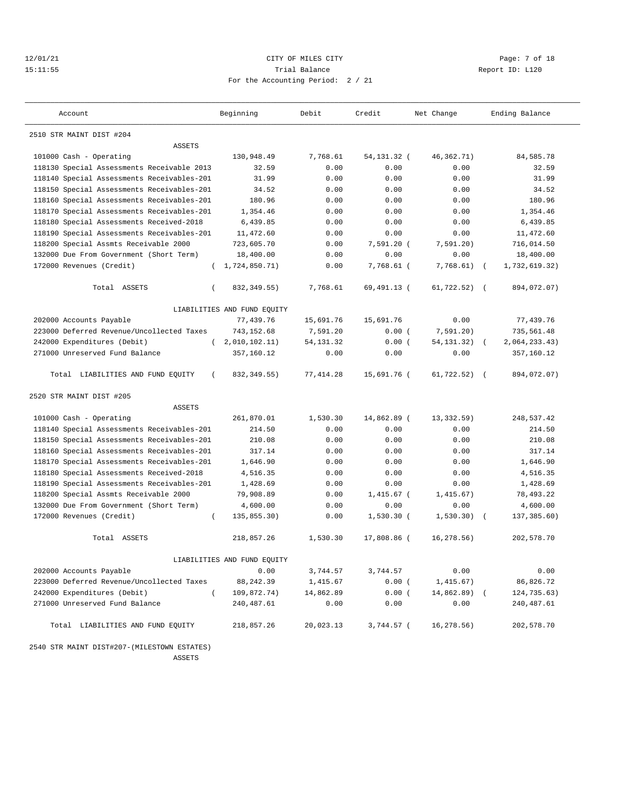## 12/01/21 CITY OF MILES CITY Page: 7 of 18 15:11:55 Trial Balance Report ID: L120 For the Accounting Period: 2 / 21

| Account                                    | Beginning                   | Debit      | Credit        | Net Change     | Ending Balance              |
|--------------------------------------------|-----------------------------|------------|---------------|----------------|-----------------------------|
| 2510 STR MAINT DIST #204                   |                             |            |               |                |                             |
| <b>ASSETS</b>                              |                             |            |               |                |                             |
| 101000 Cash - Operating                    | 130,948.49                  | 7.768.61   | 54, 131. 32 ( | 46, 362, 71)   | 84,585.78                   |
| 118130 Special Assessments Receivable 2013 | 32.59                       | 0.00       | 0.00          | 0.00           | 32.59                       |
| 118140 Special Assessments Receivables-201 | 31.99                       | 0.00       | 0.00          | 0.00           | 31.99                       |
| 118150 Special Assessments Receivables-201 | 34.52                       | 0.00       | 0.00          | 0.00           | 34.52                       |
| 118160 Special Assessments Receivables-201 | 180.96                      | 0.00       | 0.00          | 0.00           | 180.96                      |
| 118170 Special Assessments Receivables-201 | 1,354.46                    | 0.00       | 0.00          | 0.00           | 1,354.46                    |
| 118180 Special Assessments Received-2018   | 6,439.85                    | 0.00       | 0.00          | 0.00           | 6,439.85                    |
| 118190 Special Assessments Receivables-201 | 11,472.60                   | 0.00       | 0.00          | 0.00           | 11,472.60                   |
| 118200 Special Assmts Receivable 2000      | 723,605.70                  | 0.00       | $7,591.20$ (  | 7,591,20)      | 716,014.50                  |
| 132000 Due From Government (Short Term)    | 18,400.00                   | 0.00       | 0.00          | 0.00           | 18,400.00                   |
| 172000 Revenues (Credit)                   | 1,724,850.71)               | 0.00       | 7,768.61 (    | 7,768.61)      | 1,732,619.32)<br>$\sqrt{ }$ |
| Total ASSETS<br>$\left($                   | 832, 349.55)                | 7,768.61   | 69,491.13 (   | 61,722.52)     | 894,072.07)<br>$\sqrt{2}$   |
|                                            | LIABILITIES AND FUND EQUITY |            |               |                |                             |
| 202000 Accounts Payable                    | 77,439.76                   | 15,691.76  | 15,691.76     | 0.00           | 77,439.76                   |
| 223000 Deferred Revenue/Uncollected Taxes  | 743,152.68                  | 7,591.20   | 0.00(         | 7,591.20)      | 735,561.48                  |
| 242000 Expenditures (Debit)                | (2,010,102,11)              | 54, 131.32 | 0.00(         | 54, 131. 32)   | 2,064,233.43)               |
| 271000 Unreserved Fund Balance             | 357,160.12                  | 0.00       | 0.00          | 0.00           | 357,160.12                  |
| Total LIABILITIES AND FUND EQUITY          | 832, 349.55)                | 77,414.28  | 15,691.76 (   | $61,722.52)$ ( | 894,072.07)                 |
| 2520 STR MAINT DIST #205                   |                             |            |               |                |                             |
| <b>ASSETS</b>                              |                             |            |               |                |                             |
| 101000 Cash - Operating                    | 261,870.01                  | 1,530.30   | 14,862.89 (   | 13,332.59)     | 248,537.42                  |
| 118140 Special Assessments Receivables-201 | 214.50                      | 0.00       | 0.00          | 0.00           | 214.50                      |
| 118150 Special Assessments Receivables-201 | 210.08                      | 0.00       | 0.00          | 0.00           | 210.08                      |
| 118160 Special Assessments Receivables-201 | 317.14                      | 0.00       | 0.00          | 0.00           | 317.14                      |
| 118170 Special Assessments Receivables-201 | 1,646.90                    | 0.00       | 0.00          | 0.00           | 1,646.90                    |
| 118180 Special Assessments Received-2018   | 4,516.35                    | 0.00       | 0.00          | 0.00           | 4,516.35                    |
| 118190 Special Assessments Receivables-201 | 1,428.69                    | 0.00       | 0.00          | 0.00           | 1,428.69                    |
| 118200 Special Assmts Receivable 2000      | 79,908.89                   | 0.00       | 1,415.67 (    | 1,415.67)      | 78,493.22                   |
| 132000 Due From Government (Short Term)    | 4,600.00                    | 0.00       | 0.00          | 0.00           | 4,600.00                    |
| 172000 Revenues (Credit)<br>$\left($       | 135,855.30)                 | 0.00       | $1,530.30$ (  | 1,530.30)      | 137,385.60)<br>$\sqrt{2}$   |
| Total ASSETS                               | 218,857.26                  | 1,530.30   | 17,808.86 (   | 16,278.56)     | 202,578.70                  |
|                                            | LIABILITIES AND FUND EQUITY |            |               |                |                             |
| 202000 Accounts Payable                    | 0.00                        | 3,744.57   | 3,744.57      | 0.00           | 0.00                        |
| 223000 Deferred Revenue/Uncollected Taxes  | 88, 242.39                  | 1,415.67   | 0.00(         | 1,415.67)      | 86,826.72                   |
| 242000 Expenditures (Debit)<br>$\left($    | 109,872.74)                 | 14,862.89  | 0.00(         | $14,862.89$ (  | 124,735.63)                 |
| 271000 Unreserved Fund Balance             | 240,487.61                  | 0.00       | 0.00          | 0.00           | 240,487.61                  |
| Total LIABILITIES AND FUND EQUITY          | 218,857.26                  | 20,023.13  | 3,744.57 (    | 16,278.56)     | 202,578.70                  |

 2540 STR MAINT DIST#207-(MILESTOWN ESTATES) ASSETS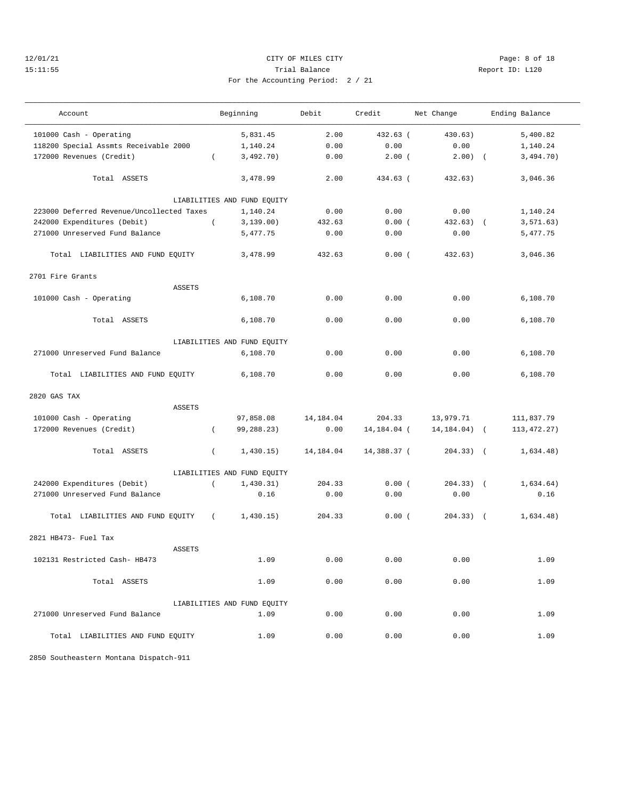2701 Fire Grants

#### 12/01/21 CITY OF MILES CITY Page: 8 of 18 15:11:55 Trial Balance Report ID: L120 For the Accounting Period: 2 / 21

———————————————————————————————————————————————————————————————————————————————————————————————————————————————————————————————————

Account and Beginning Debit Credit Net Change Ending Balance ——————————————————————————————————————————————————————————————————————————————————————————————————————————————————————————————————— 101000 Cash - Operating 5,831.45 2.00 432.63 ( 430.63) 5,400.82 118200 Special Assmts Receivable 2000 1,140.24 0.00 0.00 0.00 1,140.24 172000 Revenues (Credit) ( 3,492.70) 0.00 2.00 ( 2.00) ( 3,494.70) Total ASSETS 3,478.99 2.00 434.63 ( 432.63) 3,046.36 LIABILITIES AND FUND EQUITY 223000 Deferred Revenue/Uncollected Taxes  $1,140.24$   $0.00$   $0.00$   $0.00$   $1,140.24$ <br>242000 Expenditures (Debit) (3,139.00)  $432.63$  0.00 (432.63) (3,571.63) 242000 Expenditures (Debit) ( 3,139.00) 432.63 0.00 ( 432.63) ( 3,571.63) 271000 Unreserved Fund Balance 5,477.75 0.00 0.00 0.00 5,477.75 Total LIABILITIES AND FUND EQUITY 3,478.99 432.63 0.00 ( 432.63) 3,046.36 ASSETS 101000 Cash - Operating 6,108.70 0.00 0.00 0.00 6,108.70

| Total ASSETS                        |            | 6,108.70                    | 0.00                | 0.00        | 0.00                          | 6,108.70      |
|-------------------------------------|------------|-----------------------------|---------------------|-------------|-------------------------------|---------------|
|                                     |            | LIABILITIES AND FUND EQUITY |                     |             |                               |               |
| 271000 Unreserved Fund Balance      |            | 6,108.70                    | 0.00                | 0.00        | 0.00                          | 6,108.70      |
| Total LIABILITIES AND FUND EQUITY   |            | 6,108.70                    | 0.00                | 0.00        | 0.00                          | 6,108.70      |
| 2820 GAS TAX                        |            |                             |                     |             |                               |               |
| <b>ASSETS</b>                       |            |                             |                     |             |                               |               |
| 101000 Cash - Operating             |            | 97,858.08                   | 14,184.04           | 204.33      | 13,979.71                     | 111,837.79    |
| 172000 Revenues (Credit)            | $\left($   | 99,288.23)                  | 0.00                |             | $14, 184.04$ ( $14, 184.04$ ( | 113, 472. 27) |
| Total ASSETS                        | $\left($   |                             | 1,430.15) 14,184.04 | 14,388.37 ( | 204.33) (                     | 1,634.48)     |
|                                     |            | LIABILITIES AND FUND EQUITY |                     |             |                               |               |
| 242000 Expenditures (Debit)         | $\sqrt{2}$ | 1,430.31)                   | 204.33              | 0.00(       | $204.33$ ) $($                | 1,634.64)     |
| 271000 Unreserved Fund Balance      |            | 0.16                        | 0.00                | 0.00        | 0.00                          | 0.16          |
| Total LIABILITIES AND FUND EQUITY ( |            | 1,430.15)                   | 204.33              | 0.00(       | $204.33$ ) (                  | 1,634.48)     |
| 2821 HB473- Fuel Tax                |            |                             |                     |             |                               |               |
| <b>ASSETS</b>                       |            |                             |                     |             |                               |               |
| 102131 Restricted Cash- HB473       |            | 1.09                        | 0.00                | 0.00        | 0.00                          | 1.09          |
| Total ASSETS                        |            | 1.09                        | 0.00                | 0.00        | 0.00                          | 1.09          |
|                                     |            | LIABILITIES AND FUND EQUITY |                     |             |                               |               |
| 271000 Unreserved Fund Balance      |            | 1.09                        | 0.00                | 0.00        | 0.00                          | 1.09          |
| Total LIABILITIES AND FUND EQUITY   |            | 1.09                        | 0.00                | 0.00        | 0.00                          | 1.09          |

2850 Southeastern Montana Dispatch-911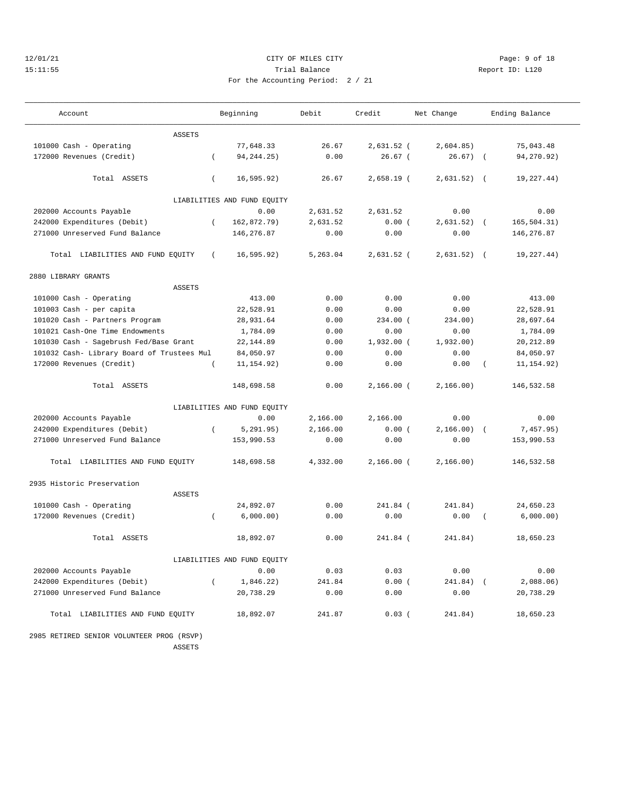#### 12/01/21 CITY OF MILES CITY Page: 9 of 18 15:11:55 Trial Balance Report ID: L120 For the Accounting Period: 2 / 21

| . |  |  |  |
|---|--|--|--|

——————————————————————————————————————————————————————————————————————————————————————————————————————————————————————————————————— Account and Beginning Debit Credit Net Change Ending Balance ——————————————————————————————————————————————————————————————————————————————————————————————————————————————————————————————————— ASSETS 101000 Cash - Operating 77,648.33 26.67 2,631.52 ( 2,604.85) 75,043.48 172000 Revenues (Credit) ( 94,244.25) 0.00 26.67 ( 26.67) ( 94,270.92) Total ASSETS ( 16,595.92) 26.67 2,658.19 ( 2,631.52) ( 19,227.44) LIABILITIES AND FUND EQUITY 202000 Accounts Payable 0.00 2,631.52 2,631.52 0.00 0.00 242000 Expenditures (Debit) ( 162,872.79) 2,631.52 0.00 ( 2,631.52) ( 165,504.31) 271000 Unreserved Fund Balance 146,276.87 0.00 0.00 0.00 146,276.87 Total LIABILITIES AND FUND EQUITY ( 16,595.92) 5,263.04 2,631.52 ( 2,631.52) ( 19,227.44) 2880 LIBRARY GRANTS ASSETS 101000 Cash - Operating  $\begin{array}{cccccccc} 101000 & \text{Cash} & - & \text{Operating} \\ - & \text{413.00} & 413.00 & 0.00 & 0.00 & 0.00 & 0.00 & 0.00 & 0.00 & 0.00 & 0.00 & 0.00 & 0.00 & 0.00 & 0.00 & 0.00 & 0.00 & 0.00 & 0.00 & 0.00 & 0.00 & 0.00 & 0.00 & 0.00 & 0.00 & 0.00 & 0.00 & 0$  101003 Cash - per capita 22,528.91 0.00 0.00 0.00 22,528.91 101020 Cash - Partners Program 28,931.64 0.00 234.00 ( 234.00) 28,697.64 101021 Cash-One Time Endowments 1,784.09 0.00 0.00 0.00 1,784.09 101030 Cash - Sagebrush Fed/Base Grant 22,144.89 0.00 1,932.00 ( 1,932.00) 20,212.89 101032 Cash- Library Board of Trustees Mul 84,050.97 0.00 0.00 0.00 84,050.97 172000 Revenues (Credit) ( 11,154.92) 0.00 0.00 0.00 ( 11,154.92) Total ASSETS 148,698.58 0.00 2,166.00 ( 2,166.00) 146,532.58 LIABILITIES AND FUND EQUITY 202000 Accounts Payable 0.00 2,166.00 2,166.00 0.00 0.00 242000 Expenditures (Debit) ( 5,291.95) 2,166.00 0.00 ( 2,166.00) ( 7,457.95) 271000 Unreserved Fund Balance 153,990.53 0.00 0.00 0.00 153,990.53 Total LIABILITIES AND FUND EQUITY 148,698.58 4,332.00 2,166.00 ( 2,166.00) 146,532.58 2935 Historic Preservation ASSETS 101000 Cash - Operating 24,892.07 0.00 241.84 ( 241.84) 24,650.23 172000 Revenues (Credit) ( 6,000.00) 0.00 0.00 0.00 ( 6,000.00) Total ASSETS 18,892.07 0.00 241.84 ( 241.84) 18,650.23 LIABILITIES AND FUND EQUITY 202000 Accounts Payable 0.00 0.03 0.03 0.00 0.00 242000 Expenditures (Debit) ( 1,846.22) 241.84 0.00 ( 241.84) ( 2,088.06) 242000 Expenditures (Debit) (  $1,846.22$ ) 241.84 0.00 ( 241.84) ( 2,088.06<br>271000 Unreserved Fund Balance 20,738.29 0.00 0.00 0.00 20,738.29 Total LIABILITIES AND FUND EQUITY 18,892.07 241.87 0.03 ( 241.84) 18,650.23

 2985 RETIRED SENIOR VOLUNTEER PROG (RSVP) **ASSETS**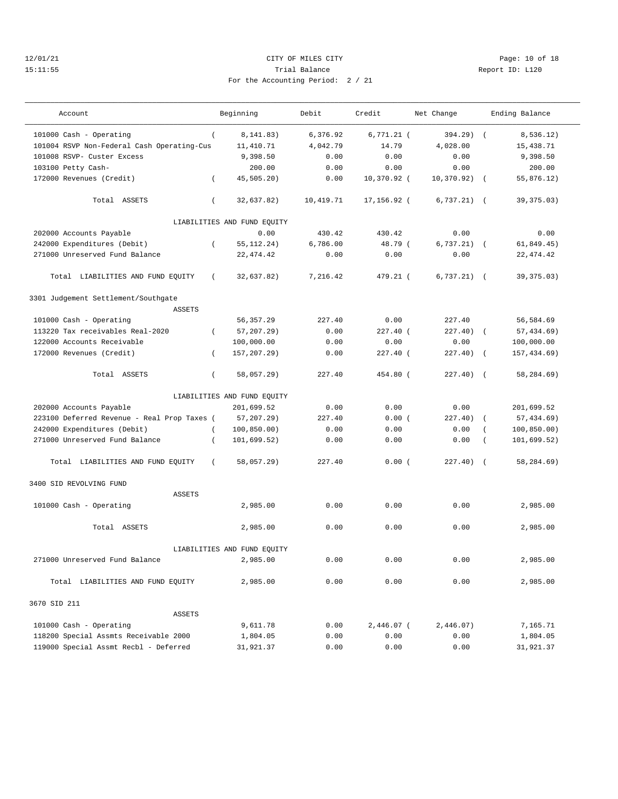## 12/01/21 **CITY OF MILES CITY CITY CITY PAGE:** 10 of 18 15:11:55 Trial Balance Report ID: L120 For the Accounting Period: 2 / 21

———————————————————————————————————————————————————————————————————————————————————————————————————————————————————————————————————

| $\sim$ $\sim$ |  |  |  |
|---------------|--|--|--|

| Account                                     |          | Beginning                   | Debit     | Credit       | Net Change     |                  | Ending Balance |
|---------------------------------------------|----------|-----------------------------|-----------|--------------|----------------|------------------|----------------|
| 101000 Cash - Operating                     | $\left($ | 8,141.83)                   | 6,376.92  | $6,771.21$ ( | $394.29$ (     |                  | 8,536.12)      |
| 101004 RSVP Non-Federal Cash Operating-Cus  |          | 11,410.71                   | 4,042.79  | 14.79        | 4,028.00       |                  | 15,438.71      |
| 101008 RSVP- Custer Excess                  |          | 9,398.50                    | 0.00      | 0.00         | 0.00           |                  | 9,398.50       |
| 103100 Petty Cash-                          |          | 200.00                      | 0.00      | 0.00         | 0.00           |                  | 200.00         |
| 172000 Revenues (Credit)                    | $\left($ | 45,505.20)                  | 0.00      | 10,370.92 (  | $10,370.92)$ ( |                  | 55,876.12)     |
| Total ASSETS                                | $\left($ | 32,637.82)                  | 10,419.71 | 17,156.92 (  | 6,737.21)      | $\sqrt{2}$       | 39, 375.03)    |
|                                             |          | LIABILITIES AND FUND EQUITY |           |              |                |                  |                |
| 202000 Accounts Payable                     |          | 0.00                        | 430.42    | 430.42       | 0.00           |                  | 0.00           |
| 242000 Expenditures (Debit)                 | $\left($ | 55, 112. 24)                | 6,786.00  | 48.79 (      | 6,737.21)      | $\sqrt{2}$       | 61,849.45)     |
| 271000 Unreserved Fund Balance              |          | 22, 474.42                  | 0.00      | 0.00         | 0.00           |                  | 22, 474.42     |
| Total LIABILITIES AND FUND EQUITY           | $\left($ | 32,637.82)                  | 7,216.42  | 479.21 (     | $6,737.21)$ (  |                  | 39, 375.03)    |
| 3301 Judgement Settlement/Southgate         |          |                             |           |              |                |                  |                |
| <b>ASSETS</b>                               |          |                             |           |              |                |                  |                |
| 101000 Cash - Operating                     |          | 56, 357.29                  | 227.40    | 0.00         | 227.40         |                  | 56,584.69      |
| 113220 Tax receivables Real-2020            | $\left($ | $57, 207.29$ )              | 0.00      | $227.40$ (   | 227.40         | $\sqrt{2}$       | 57, 434.69)    |
| 122000 Accounts Receivable                  |          | 100,000.00                  | 0.00      | 0.00         | 0.00           |                  | 100,000.00     |
| 172000 Revenues (Credit)                    | $\left($ | 157, 207. 29)               | 0.00      | $227.40$ (   | 227.40)        | $\sqrt{2}$       | 157,434.69)    |
| Total ASSETS                                | $\left($ | 58,057.29)                  | 227.40    | 454.80 (     | 227.40) (      |                  | 58,284.69)     |
|                                             |          | LIABILITIES AND FUND EQUITY |           |              |                |                  |                |
| 202000 Accounts Payable                     |          | 201,699.52                  | 0.00      | 0.00         | 0.00           |                  | 201,699.52     |
| 223100 Deferred Revenue - Real Prop Taxes ( |          | $57, 207.29$ )              | 227.40    | 0.00(        | 227.40)        | $\left($         | 57,434.69)     |
| 242000 Expenditures (Debit)                 | $\left($ | 100, 850.00)                | 0.00      | 0.00         | 0.00           | $\overline{(\ }$ | 100, 850.00)   |
| 271000 Unreserved Fund Balance              | $\left($ | 101,699.52)                 | 0.00      | 0.00         | 0.00           | $\left($         | 101,699.52)    |
| Total LIABILITIES AND FUND EQUITY           | $\left($ | 58,057.29)                  | 227.40    | 0.00(        | 227.40)        | $\sqrt{2}$       | 58,284.69)     |
| 3400 SID REVOLVING FUND                     |          |                             |           |              |                |                  |                |
| <b>ASSETS</b>                               |          |                             |           |              |                |                  |                |
| 101000 Cash - Operating                     |          | 2,985.00                    | 0.00      | 0.00         | 0.00           |                  | 2,985.00       |
| Total ASSETS                                |          | 2,985.00                    | 0.00      | 0.00         | 0.00           |                  | 2,985.00       |
|                                             |          | LIABILITIES AND FUND EQUITY |           |              |                |                  |                |
| 271000 Unreserved Fund Balance              |          | 2,985.00                    | 0.00      | 0.00         | 0.00           |                  | 2,985.00       |
|                                             |          |                             |           |              |                |                  |                |
| Total LIABILITIES AND FUND EQUITY           |          | 2,985.00                    | 0.00      | 0.00         | 0.00           |                  | 2,985.00       |
| 3670 SID 211                                |          |                             |           |              |                |                  |                |
| <b>ASSETS</b>                               |          |                             |           |              |                |                  |                |
| 101000 Cash - Operating                     |          | 9,611.78                    | 0.00      | $2,446.07$ ( | 2,446.07)      |                  | 7,165.71       |
| 118200 Special Assmts Receivable 2000       |          | 1,804.05                    | 0.00      | 0.00         | 0.00           |                  | 1,804.05       |
| 119000 Special Assmt Recbl - Deferred       |          | 31,921.37                   | 0.00      | 0.00         | 0.00           |                  | 31,921.37      |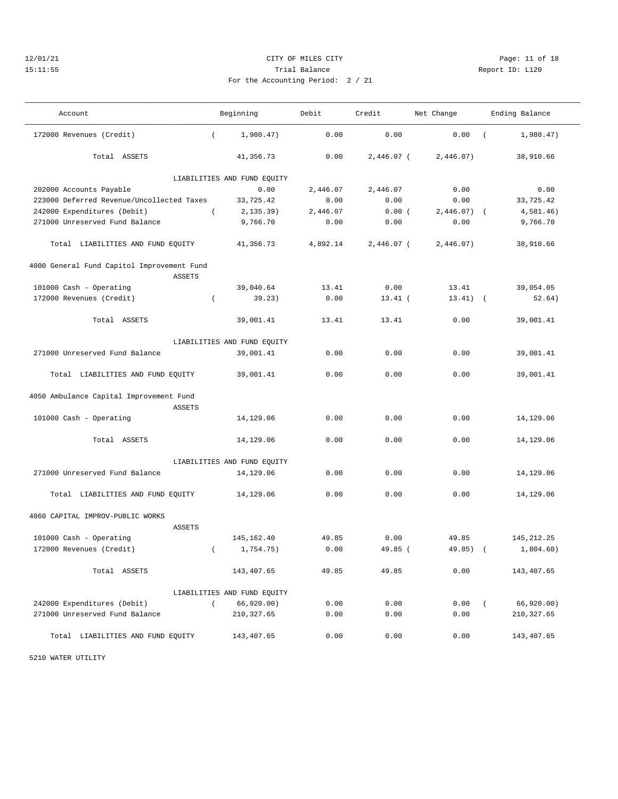# 12/01/21 Page: 11 of 18 15:11:55 Trial Balance Report ID: L120

——————————————————————————————————————————————————————————————————————————————————————————————————————————————————————————————————— Account Beginning Debit Credit Net Change Ending Balance ——————————————————————————————————————————————————————————————————————————————————————————————————————————————————————————————————— 172000 Revenues (Credit) ( 1,980.47) 0.00 0.00 0.00 ( 1,980.47)

|  | For the Accounting Period: 2 / 21 |  |  |
|--|-----------------------------------|--|--|
|  |                                   |  |  |

| Total ASSETS                               | 41,356.73                   | 0.00     | $2,446.07$ ( | 2,446.07)        | 38,910.66    |
|--------------------------------------------|-----------------------------|----------|--------------|------------------|--------------|
|                                            | LIABILITIES AND FUND EQUITY |          |              |                  |              |
| 202000 Accounts Payable                    | 0.00                        | 2,446.07 | 2,446.07     | 0.00             | 0.00         |
| 223000 Deferred Revenue/Uncollected Taxes  | 33,725.42                   | 0.00     | 0.00         | 0.00             | 33,725.42    |
| 242000 Expenditures (Debit)                | $\sqrt{2}$<br>2,135.39)     | 2,446.07 | 0.00(        | $2,446.07$ (     | 4,581.46)    |
| 271000 Unreserved Fund Balance             | 9,766.70                    | 0.00     | 0.00         | 0.00             | 9,766.70     |
| Total LIABILITIES AND FUND EQUITY          | 41,356.73                   | 4,892.14 | $2,446.07$ ( | 2,446.07)        | 38,910.66    |
| 4000 General Fund Capitol Improvement Fund |                             |          |              |                  |              |
| <b>ASSETS</b>                              |                             |          |              |                  |              |
| 101000 Cash - Operating                    | 39,040.64                   | 13.41    | 0.00         | 13.41            | 39,054.05    |
| 172000 Revenues (Credit)                   | 39.23)<br>$\left($          | 0.00     | $13.41$ (    | $13.41)$ (       | 52.64)       |
| Total ASSETS                               | 39,001.41                   | 13.41    | 13.41        | 0.00             | 39,001.41    |
|                                            | LIABILITIES AND FUND EQUITY |          |              |                  |              |
| 271000 Unreserved Fund Balance             | 39,001.41                   | 0.00     | 0.00         | 0.00             | 39,001.41    |
| Total LIABILITIES AND FUND EQUITY          | 39,001.41                   | 0.00     | 0.00         | 0.00             | 39,001.41    |
| 4050 Ambulance Capital Improvement Fund    |                             |          |              |                  |              |
| <b>ASSETS</b>                              |                             |          |              |                  |              |
| 101000 Cash - Operating                    | 14,129.06                   | 0.00     | 0.00         | 0.00             | 14,129.06    |
| Total ASSETS                               | 14,129.06                   | 0.00     | 0.00         | 0.00             | 14,129.06    |
|                                            | LIABILITIES AND FUND EQUITY |          |              |                  |              |
| 271000 Unreserved Fund Balance             | 14,129.06                   | 0.00     | 0.00         | 0.00             | 14,129.06    |
| Total LIABILITIES AND FUND EQUITY          | 14,129.06                   | 0.00     | 0.00         | 0.00             | 14,129.06    |
| 4060 CAPITAL IMPROV-PUBLIC WORKS           |                             |          |              |                  |              |
| <b>ASSETS</b>                              |                             |          |              |                  |              |
| 101000 Cash - Operating                    | 145, 162.40                 | 49.85    | 0.00         | 49.85            | 145, 212. 25 |
| 172000 Revenues (Credit)                   | 1,754.75)<br>$\left($       | 0.00     | 49.85 (      | $49.85$ ) (      | 1,804.60)    |
| Total ASSETS                               | 143,407.65                  | 49.85    | 49.85        | 0.00             | 143,407.65   |
|                                            | LIABILITIES AND FUND EQUITY |          |              |                  |              |
| 242000 Expenditures (Debit)                | 66,920.00)<br>$\left($      | 0.00     | 0.00         | 0.00<br>$\left($ | 66, 920.00)  |
| 271000 Unreserved Fund Balance             | 210, 327.65                 | 0.00     | 0.00         | 0.00             | 210, 327.65  |

Total LIABILITIES AND FUND EQUITY 143,407.65 0.00 0.00 0.00 143,407.65

5210 WATER UTILITY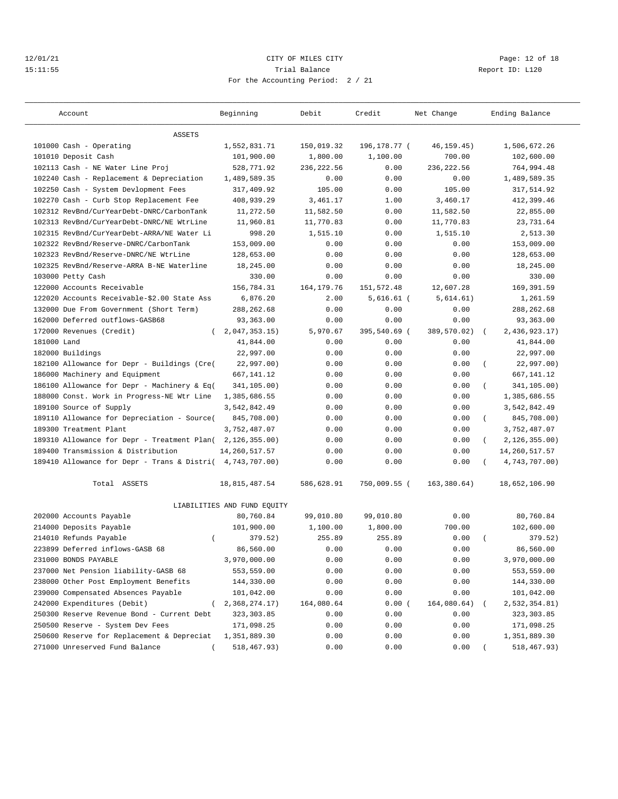## 12/01/21 **CITY OF MILES CITY CITY CITY PAGE:** 12 of 18 15:11:55 Trial Balance Report ID: L120 For the Accounting Period: 2 / 21

| <b>ASSETS</b><br>101000 Cash - Operating<br>1,552,831.71<br>150,019.32<br>196,178.77 (<br>46, 159. 45)<br>1,506,672.26<br>101010 Deposit Cash<br>101,900.00<br>1,800.00<br>1,100.00<br>700.00<br>102,600.00<br>102113 Cash - NE Water Line Proj<br>528,771.92<br>236, 222.56<br>0.00<br>236,222.56<br>764,994.48<br>102240 Cash - Replacement & Depreciation<br>1,489,589.35<br>0.00<br>0.00<br>0.00<br>1,489,589.35<br>102250 Cash - System Devlopment Fees<br>317,409.92<br>105.00<br>0.00<br>105.00<br>317,514.92<br>3,460.17<br>102270 Cash - Curb Stop Replacement Fee<br>408,939.29<br>3,461.17<br>1.00<br>412,399.46<br>102312 RevBnd/CurYearDebt-DNRC/CarbonTank<br>11,272.50<br>11,582.50<br>0.00<br>11,582.50<br>22,855.00<br>102313 RevBnd/CurYearDebt-DNRC/NE WtrLine<br>11,960.81<br>11,770.83<br>0.00<br>11,770.83<br>23,731.64<br>102315 RevBnd/CurYearDebt-ARRA/NE Water Li<br>998.20<br>1,515.10<br>0.00<br>1,515.10<br>2,513.30<br>102322 RevBnd/Reserve-DNRC/CarbonTank<br>153,009.00<br>0.00<br>0.00<br>153,009.00<br>0.00<br>128,653.00<br>0.00<br>128,653.00<br>102323 RevBnd/Reserve-DNRC/NE WtrLine<br>0.00<br>0.00<br>102325 RevBnd/Reserve-ARRA B-NE Waterline<br>18,245.00<br>0.00<br>18,245.00<br>0.00<br>0.00<br>103000 Petty Cash<br>330.00<br>0.00<br>0.00<br>0.00<br>330.00<br>156,784.31<br>164, 179. 76<br>151,572.48<br>12,607.28<br>169,391.59<br>122000 Accounts Receivable<br>122020 Accounts Receivable-\$2.00 State Ass<br>6,876.20<br>5,614.61)<br>1,261.59<br>2.00<br>5,616.61 (<br>288, 262.68<br>0.00<br>0.00<br>0.00<br>288, 262.68<br>132000 Due From Government (Short Term)<br>162000 Deferred outflows-GASB68<br>93,363.00<br>93,363.00<br>0.00<br>0.00<br>0.00<br>172000 Revenues (Credit)<br>2,047,353.15)<br>5,970.67<br>395,540.69 (<br>389,570.02)<br>2,436,923.17)<br>$\left($<br>$\sqrt{2}$<br>181000 Land<br>41,844.00<br>0.00<br>0.00<br>0.00<br>41,844.00<br>182000 Buildings<br>22,997.00<br>0.00<br>0.00<br>0.00<br>22,997.00<br>182100 Allowance for Depr - Buildings (Cre(<br>22,997.00)<br>0.00<br>22,997.00)<br>0.00<br>0.00<br>(<br>186000 Machinery and Equipment<br>667, 141.12<br>0.00<br>667,141.12<br>0.00<br>0.00<br>186100 Allowance for Depr - Machinery & Eq(<br>341,105.00)<br>0.00<br>0.00<br>0.00<br>341,105.00)<br>$\left($<br>188000 Const. Work in Progress-NE Wtr Line<br>0.00<br>0.00<br>1,385,686.55<br>1,385,686.55<br>0.00<br>189100 Source of Supply<br>3,542,842.49<br>0.00<br>0.00<br>0.00<br>3,542,842.49<br>189110 Allowance for Depreciation - Source(<br>845,708.00)<br>0.00<br>0.00<br>845,708.00)<br>0.00<br>$\left($<br>189300 Treatment Plant<br>3,752,487.07<br>0.00<br>0.00<br>3,752,487.07<br>0.00<br>189310 Allowance for Depr - Treatment Plan(<br>2, 126, 355.00<br>0.00<br>0.00<br>0.00<br>2, 126, 355.00<br>$\left($<br>189400 Transmission & Distribution<br>14, 260, 517.57<br>0.00<br>0.00<br>14, 260, 517.57<br>0.00<br>189410 Allowance for Depr - Trans & Distri( 4,743,707.00)<br>0.00<br>0.00<br>0.00<br>4,743,707.00)<br>Total ASSETS<br>750,009.55 (<br>163, 380.64)<br>18,652,106.90<br>18,815,487.54<br>586,628.91<br>LIABILITIES AND FUND EQUITY<br>202000 Accounts Payable<br>80,760.84<br>99,010.80<br>99,010.80<br>0.00<br>80,760.84<br>214000 Deposits Payable<br>101,900.00<br>1,100.00<br>1,800.00<br>700.00<br>102,600.00<br>255.89<br>214010 Refunds Payable<br>379.52)<br>255.89<br>0.00<br>379.52)<br>$\left($<br>223899 Deferred inflows-GASB 68<br>86,560.00<br>0.00<br>0.00<br>0.00<br>86,560.00<br>231000 BONDS PAYABLE<br>3,970,000.00<br>0.00<br>0.00<br>0.00<br>3,970,000.00<br>237000 Net Pension liability-GASB 68<br>553,559.00<br>0.00<br>0.00<br>0.00<br>553,559.00<br>238000 Other Post Employment Benefits<br>0.00<br>0.00<br>0.00<br>144,330.00<br>144,330.00<br>239000 Compensated Absences Payable<br>0.00<br>0.00<br>101,042.00<br>101,042.00<br>0.00<br>242000 Expenditures (Debit)<br>2,368,274.17)<br>164,080.64<br>164,080.64)<br>2,532,354.81)<br>0.00(<br>0.00<br>250300 Reserve Revenue Bond - Current Debt<br>323, 303.85<br>0.00<br>0.00<br>323,303.85<br>250500 Reserve - System Dev Fees<br>171,098.25<br>0.00<br>0.00<br>0.00<br>171,098.25 | Account                                    | Beginning    | Debit | Credit | Net Change | Ending Balance |
|-----------------------------------------------------------------------------------------------------------------------------------------------------------------------------------------------------------------------------------------------------------------------------------------------------------------------------------------------------------------------------------------------------------------------------------------------------------------------------------------------------------------------------------------------------------------------------------------------------------------------------------------------------------------------------------------------------------------------------------------------------------------------------------------------------------------------------------------------------------------------------------------------------------------------------------------------------------------------------------------------------------------------------------------------------------------------------------------------------------------------------------------------------------------------------------------------------------------------------------------------------------------------------------------------------------------------------------------------------------------------------------------------------------------------------------------------------------------------------------------------------------------------------------------------------------------------------------------------------------------------------------------------------------------------------------------------------------------------------------------------------------------------------------------------------------------------------------------------------------------------------------------------------------------------------------------------------------------------------------------------------------------------------------------------------------------------------------------------------------------------------------------------------------------------------------------------------------------------------------------------------------------------------------------------------------------------------------------------------------------------------------------------------------------------------------------------------------------------------------------------------------------------------------------------------------------------------------------------------------------------------------------------------------------------------------------------------------------------------------------------------------------------------------------------------------------------------------------------------------------------------------------------------------------------------------------------------------------------------------------------------------------------------------------------------------------------------------------------------------------------------------------------------------------------------------------------------------------------------------------------------------------------------------------------------------------------------------------------------------------------------------------------------------------------------------------------------------------------------------------------------------------------------------------------------------------------------------------------------------------------------------------------------------------------------------------------------------------------------------------------------------------------------------------------------------------------------------------------------------------------------------------------------------------------------------------------------------------------------------------------------------------------------------------------------------------------------------------------------------------------------------------------------------------------------------------------------------|--------------------------------------------|--------------|-------|--------|------------|----------------|
|                                                                                                                                                                                                                                                                                                                                                                                                                                                                                                                                                                                                                                                                                                                                                                                                                                                                                                                                                                                                                                                                                                                                                                                                                                                                                                                                                                                                                                                                                                                                                                                                                                                                                                                                                                                                                                                                                                                                                                                                                                                                                                                                                                                                                                                                                                                                                                                                                                                                                                                                                                                                                                                                                                                                                                                                                                                                                                                                                                                                                                                                                                                                                                                                                                                                                                                                                                                                                                                                                                                                                                                                                                                                                                                                                                                                                                                                                                                                                                                                                                                                                                                                                                                                           |                                            |              |       |        |            |                |
|                                                                                                                                                                                                                                                                                                                                                                                                                                                                                                                                                                                                                                                                                                                                                                                                                                                                                                                                                                                                                                                                                                                                                                                                                                                                                                                                                                                                                                                                                                                                                                                                                                                                                                                                                                                                                                                                                                                                                                                                                                                                                                                                                                                                                                                                                                                                                                                                                                                                                                                                                                                                                                                                                                                                                                                                                                                                                                                                                                                                                                                                                                                                                                                                                                                                                                                                                                                                                                                                                                                                                                                                                                                                                                                                                                                                                                                                                                                                                                                                                                                                                                                                                                                                           |                                            |              |       |        |            |                |
|                                                                                                                                                                                                                                                                                                                                                                                                                                                                                                                                                                                                                                                                                                                                                                                                                                                                                                                                                                                                                                                                                                                                                                                                                                                                                                                                                                                                                                                                                                                                                                                                                                                                                                                                                                                                                                                                                                                                                                                                                                                                                                                                                                                                                                                                                                                                                                                                                                                                                                                                                                                                                                                                                                                                                                                                                                                                                                                                                                                                                                                                                                                                                                                                                                                                                                                                                                                                                                                                                                                                                                                                                                                                                                                                                                                                                                                                                                                                                                                                                                                                                                                                                                                                           |                                            |              |       |        |            |                |
|                                                                                                                                                                                                                                                                                                                                                                                                                                                                                                                                                                                                                                                                                                                                                                                                                                                                                                                                                                                                                                                                                                                                                                                                                                                                                                                                                                                                                                                                                                                                                                                                                                                                                                                                                                                                                                                                                                                                                                                                                                                                                                                                                                                                                                                                                                                                                                                                                                                                                                                                                                                                                                                                                                                                                                                                                                                                                                                                                                                                                                                                                                                                                                                                                                                                                                                                                                                                                                                                                                                                                                                                                                                                                                                                                                                                                                                                                                                                                                                                                                                                                                                                                                                                           |                                            |              |       |        |            |                |
|                                                                                                                                                                                                                                                                                                                                                                                                                                                                                                                                                                                                                                                                                                                                                                                                                                                                                                                                                                                                                                                                                                                                                                                                                                                                                                                                                                                                                                                                                                                                                                                                                                                                                                                                                                                                                                                                                                                                                                                                                                                                                                                                                                                                                                                                                                                                                                                                                                                                                                                                                                                                                                                                                                                                                                                                                                                                                                                                                                                                                                                                                                                                                                                                                                                                                                                                                                                                                                                                                                                                                                                                                                                                                                                                                                                                                                                                                                                                                                                                                                                                                                                                                                                                           |                                            |              |       |        |            |                |
|                                                                                                                                                                                                                                                                                                                                                                                                                                                                                                                                                                                                                                                                                                                                                                                                                                                                                                                                                                                                                                                                                                                                                                                                                                                                                                                                                                                                                                                                                                                                                                                                                                                                                                                                                                                                                                                                                                                                                                                                                                                                                                                                                                                                                                                                                                                                                                                                                                                                                                                                                                                                                                                                                                                                                                                                                                                                                                                                                                                                                                                                                                                                                                                                                                                                                                                                                                                                                                                                                                                                                                                                                                                                                                                                                                                                                                                                                                                                                                                                                                                                                                                                                                                                           |                                            |              |       |        |            |                |
|                                                                                                                                                                                                                                                                                                                                                                                                                                                                                                                                                                                                                                                                                                                                                                                                                                                                                                                                                                                                                                                                                                                                                                                                                                                                                                                                                                                                                                                                                                                                                                                                                                                                                                                                                                                                                                                                                                                                                                                                                                                                                                                                                                                                                                                                                                                                                                                                                                                                                                                                                                                                                                                                                                                                                                                                                                                                                                                                                                                                                                                                                                                                                                                                                                                                                                                                                                                                                                                                                                                                                                                                                                                                                                                                                                                                                                                                                                                                                                                                                                                                                                                                                                                                           |                                            |              |       |        |            |                |
|                                                                                                                                                                                                                                                                                                                                                                                                                                                                                                                                                                                                                                                                                                                                                                                                                                                                                                                                                                                                                                                                                                                                                                                                                                                                                                                                                                                                                                                                                                                                                                                                                                                                                                                                                                                                                                                                                                                                                                                                                                                                                                                                                                                                                                                                                                                                                                                                                                                                                                                                                                                                                                                                                                                                                                                                                                                                                                                                                                                                                                                                                                                                                                                                                                                                                                                                                                                                                                                                                                                                                                                                                                                                                                                                                                                                                                                                                                                                                                                                                                                                                                                                                                                                           |                                            |              |       |        |            |                |
|                                                                                                                                                                                                                                                                                                                                                                                                                                                                                                                                                                                                                                                                                                                                                                                                                                                                                                                                                                                                                                                                                                                                                                                                                                                                                                                                                                                                                                                                                                                                                                                                                                                                                                                                                                                                                                                                                                                                                                                                                                                                                                                                                                                                                                                                                                                                                                                                                                                                                                                                                                                                                                                                                                                                                                                                                                                                                                                                                                                                                                                                                                                                                                                                                                                                                                                                                                                                                                                                                                                                                                                                                                                                                                                                                                                                                                                                                                                                                                                                                                                                                                                                                                                                           |                                            |              |       |        |            |                |
|                                                                                                                                                                                                                                                                                                                                                                                                                                                                                                                                                                                                                                                                                                                                                                                                                                                                                                                                                                                                                                                                                                                                                                                                                                                                                                                                                                                                                                                                                                                                                                                                                                                                                                                                                                                                                                                                                                                                                                                                                                                                                                                                                                                                                                                                                                                                                                                                                                                                                                                                                                                                                                                                                                                                                                                                                                                                                                                                                                                                                                                                                                                                                                                                                                                                                                                                                                                                                                                                                                                                                                                                                                                                                                                                                                                                                                                                                                                                                                                                                                                                                                                                                                                                           |                                            |              |       |        |            |                |
|                                                                                                                                                                                                                                                                                                                                                                                                                                                                                                                                                                                                                                                                                                                                                                                                                                                                                                                                                                                                                                                                                                                                                                                                                                                                                                                                                                                                                                                                                                                                                                                                                                                                                                                                                                                                                                                                                                                                                                                                                                                                                                                                                                                                                                                                                                                                                                                                                                                                                                                                                                                                                                                                                                                                                                                                                                                                                                                                                                                                                                                                                                                                                                                                                                                                                                                                                                                                                                                                                                                                                                                                                                                                                                                                                                                                                                                                                                                                                                                                                                                                                                                                                                                                           |                                            |              |       |        |            |                |
|                                                                                                                                                                                                                                                                                                                                                                                                                                                                                                                                                                                                                                                                                                                                                                                                                                                                                                                                                                                                                                                                                                                                                                                                                                                                                                                                                                                                                                                                                                                                                                                                                                                                                                                                                                                                                                                                                                                                                                                                                                                                                                                                                                                                                                                                                                                                                                                                                                                                                                                                                                                                                                                                                                                                                                                                                                                                                                                                                                                                                                                                                                                                                                                                                                                                                                                                                                                                                                                                                                                                                                                                                                                                                                                                                                                                                                                                                                                                                                                                                                                                                                                                                                                                           |                                            |              |       |        |            |                |
|                                                                                                                                                                                                                                                                                                                                                                                                                                                                                                                                                                                                                                                                                                                                                                                                                                                                                                                                                                                                                                                                                                                                                                                                                                                                                                                                                                                                                                                                                                                                                                                                                                                                                                                                                                                                                                                                                                                                                                                                                                                                                                                                                                                                                                                                                                                                                                                                                                                                                                                                                                                                                                                                                                                                                                                                                                                                                                                                                                                                                                                                                                                                                                                                                                                                                                                                                                                                                                                                                                                                                                                                                                                                                                                                                                                                                                                                                                                                                                                                                                                                                                                                                                                                           |                                            |              |       |        |            |                |
|                                                                                                                                                                                                                                                                                                                                                                                                                                                                                                                                                                                                                                                                                                                                                                                                                                                                                                                                                                                                                                                                                                                                                                                                                                                                                                                                                                                                                                                                                                                                                                                                                                                                                                                                                                                                                                                                                                                                                                                                                                                                                                                                                                                                                                                                                                                                                                                                                                                                                                                                                                                                                                                                                                                                                                                                                                                                                                                                                                                                                                                                                                                                                                                                                                                                                                                                                                                                                                                                                                                                                                                                                                                                                                                                                                                                                                                                                                                                                                                                                                                                                                                                                                                                           |                                            |              |       |        |            |                |
|                                                                                                                                                                                                                                                                                                                                                                                                                                                                                                                                                                                                                                                                                                                                                                                                                                                                                                                                                                                                                                                                                                                                                                                                                                                                                                                                                                                                                                                                                                                                                                                                                                                                                                                                                                                                                                                                                                                                                                                                                                                                                                                                                                                                                                                                                                                                                                                                                                                                                                                                                                                                                                                                                                                                                                                                                                                                                                                                                                                                                                                                                                                                                                                                                                                                                                                                                                                                                                                                                                                                                                                                                                                                                                                                                                                                                                                                                                                                                                                                                                                                                                                                                                                                           |                                            |              |       |        |            |                |
|                                                                                                                                                                                                                                                                                                                                                                                                                                                                                                                                                                                                                                                                                                                                                                                                                                                                                                                                                                                                                                                                                                                                                                                                                                                                                                                                                                                                                                                                                                                                                                                                                                                                                                                                                                                                                                                                                                                                                                                                                                                                                                                                                                                                                                                                                                                                                                                                                                                                                                                                                                                                                                                                                                                                                                                                                                                                                                                                                                                                                                                                                                                                                                                                                                                                                                                                                                                                                                                                                                                                                                                                                                                                                                                                                                                                                                                                                                                                                                                                                                                                                                                                                                                                           |                                            |              |       |        |            |                |
|                                                                                                                                                                                                                                                                                                                                                                                                                                                                                                                                                                                                                                                                                                                                                                                                                                                                                                                                                                                                                                                                                                                                                                                                                                                                                                                                                                                                                                                                                                                                                                                                                                                                                                                                                                                                                                                                                                                                                                                                                                                                                                                                                                                                                                                                                                                                                                                                                                                                                                                                                                                                                                                                                                                                                                                                                                                                                                                                                                                                                                                                                                                                                                                                                                                                                                                                                                                                                                                                                                                                                                                                                                                                                                                                                                                                                                                                                                                                                                                                                                                                                                                                                                                                           |                                            |              |       |        |            |                |
|                                                                                                                                                                                                                                                                                                                                                                                                                                                                                                                                                                                                                                                                                                                                                                                                                                                                                                                                                                                                                                                                                                                                                                                                                                                                                                                                                                                                                                                                                                                                                                                                                                                                                                                                                                                                                                                                                                                                                                                                                                                                                                                                                                                                                                                                                                                                                                                                                                                                                                                                                                                                                                                                                                                                                                                                                                                                                                                                                                                                                                                                                                                                                                                                                                                                                                                                                                                                                                                                                                                                                                                                                                                                                                                                                                                                                                                                                                                                                                                                                                                                                                                                                                                                           |                                            |              |       |        |            |                |
|                                                                                                                                                                                                                                                                                                                                                                                                                                                                                                                                                                                                                                                                                                                                                                                                                                                                                                                                                                                                                                                                                                                                                                                                                                                                                                                                                                                                                                                                                                                                                                                                                                                                                                                                                                                                                                                                                                                                                                                                                                                                                                                                                                                                                                                                                                                                                                                                                                                                                                                                                                                                                                                                                                                                                                                                                                                                                                                                                                                                                                                                                                                                                                                                                                                                                                                                                                                                                                                                                                                                                                                                                                                                                                                                                                                                                                                                                                                                                                                                                                                                                                                                                                                                           |                                            |              |       |        |            |                |
|                                                                                                                                                                                                                                                                                                                                                                                                                                                                                                                                                                                                                                                                                                                                                                                                                                                                                                                                                                                                                                                                                                                                                                                                                                                                                                                                                                                                                                                                                                                                                                                                                                                                                                                                                                                                                                                                                                                                                                                                                                                                                                                                                                                                                                                                                                                                                                                                                                                                                                                                                                                                                                                                                                                                                                                                                                                                                                                                                                                                                                                                                                                                                                                                                                                                                                                                                                                                                                                                                                                                                                                                                                                                                                                                                                                                                                                                                                                                                                                                                                                                                                                                                                                                           |                                            |              |       |        |            |                |
|                                                                                                                                                                                                                                                                                                                                                                                                                                                                                                                                                                                                                                                                                                                                                                                                                                                                                                                                                                                                                                                                                                                                                                                                                                                                                                                                                                                                                                                                                                                                                                                                                                                                                                                                                                                                                                                                                                                                                                                                                                                                                                                                                                                                                                                                                                                                                                                                                                                                                                                                                                                                                                                                                                                                                                                                                                                                                                                                                                                                                                                                                                                                                                                                                                                                                                                                                                                                                                                                                                                                                                                                                                                                                                                                                                                                                                                                                                                                                                                                                                                                                                                                                                                                           |                                            |              |       |        |            |                |
|                                                                                                                                                                                                                                                                                                                                                                                                                                                                                                                                                                                                                                                                                                                                                                                                                                                                                                                                                                                                                                                                                                                                                                                                                                                                                                                                                                                                                                                                                                                                                                                                                                                                                                                                                                                                                                                                                                                                                                                                                                                                                                                                                                                                                                                                                                                                                                                                                                                                                                                                                                                                                                                                                                                                                                                                                                                                                                                                                                                                                                                                                                                                                                                                                                                                                                                                                                                                                                                                                                                                                                                                                                                                                                                                                                                                                                                                                                                                                                                                                                                                                                                                                                                                           |                                            |              |       |        |            |                |
|                                                                                                                                                                                                                                                                                                                                                                                                                                                                                                                                                                                                                                                                                                                                                                                                                                                                                                                                                                                                                                                                                                                                                                                                                                                                                                                                                                                                                                                                                                                                                                                                                                                                                                                                                                                                                                                                                                                                                                                                                                                                                                                                                                                                                                                                                                                                                                                                                                                                                                                                                                                                                                                                                                                                                                                                                                                                                                                                                                                                                                                                                                                                                                                                                                                                                                                                                                                                                                                                                                                                                                                                                                                                                                                                                                                                                                                                                                                                                                                                                                                                                                                                                                                                           |                                            |              |       |        |            |                |
|                                                                                                                                                                                                                                                                                                                                                                                                                                                                                                                                                                                                                                                                                                                                                                                                                                                                                                                                                                                                                                                                                                                                                                                                                                                                                                                                                                                                                                                                                                                                                                                                                                                                                                                                                                                                                                                                                                                                                                                                                                                                                                                                                                                                                                                                                                                                                                                                                                                                                                                                                                                                                                                                                                                                                                                                                                                                                                                                                                                                                                                                                                                                                                                                                                                                                                                                                                                                                                                                                                                                                                                                                                                                                                                                                                                                                                                                                                                                                                                                                                                                                                                                                                                                           |                                            |              |       |        |            |                |
|                                                                                                                                                                                                                                                                                                                                                                                                                                                                                                                                                                                                                                                                                                                                                                                                                                                                                                                                                                                                                                                                                                                                                                                                                                                                                                                                                                                                                                                                                                                                                                                                                                                                                                                                                                                                                                                                                                                                                                                                                                                                                                                                                                                                                                                                                                                                                                                                                                                                                                                                                                                                                                                                                                                                                                                                                                                                                                                                                                                                                                                                                                                                                                                                                                                                                                                                                                                                                                                                                                                                                                                                                                                                                                                                                                                                                                                                                                                                                                                                                                                                                                                                                                                                           |                                            |              |       |        |            |                |
|                                                                                                                                                                                                                                                                                                                                                                                                                                                                                                                                                                                                                                                                                                                                                                                                                                                                                                                                                                                                                                                                                                                                                                                                                                                                                                                                                                                                                                                                                                                                                                                                                                                                                                                                                                                                                                                                                                                                                                                                                                                                                                                                                                                                                                                                                                                                                                                                                                                                                                                                                                                                                                                                                                                                                                                                                                                                                                                                                                                                                                                                                                                                                                                                                                                                                                                                                                                                                                                                                                                                                                                                                                                                                                                                                                                                                                                                                                                                                                                                                                                                                                                                                                                                           |                                            |              |       |        |            |                |
|                                                                                                                                                                                                                                                                                                                                                                                                                                                                                                                                                                                                                                                                                                                                                                                                                                                                                                                                                                                                                                                                                                                                                                                                                                                                                                                                                                                                                                                                                                                                                                                                                                                                                                                                                                                                                                                                                                                                                                                                                                                                                                                                                                                                                                                                                                                                                                                                                                                                                                                                                                                                                                                                                                                                                                                                                                                                                                                                                                                                                                                                                                                                                                                                                                                                                                                                                                                                                                                                                                                                                                                                                                                                                                                                                                                                                                                                                                                                                                                                                                                                                                                                                                                                           |                                            |              |       |        |            |                |
|                                                                                                                                                                                                                                                                                                                                                                                                                                                                                                                                                                                                                                                                                                                                                                                                                                                                                                                                                                                                                                                                                                                                                                                                                                                                                                                                                                                                                                                                                                                                                                                                                                                                                                                                                                                                                                                                                                                                                                                                                                                                                                                                                                                                                                                                                                                                                                                                                                                                                                                                                                                                                                                                                                                                                                                                                                                                                                                                                                                                                                                                                                                                                                                                                                                                                                                                                                                                                                                                                                                                                                                                                                                                                                                                                                                                                                                                                                                                                                                                                                                                                                                                                                                                           |                                            |              |       |        |            |                |
|                                                                                                                                                                                                                                                                                                                                                                                                                                                                                                                                                                                                                                                                                                                                                                                                                                                                                                                                                                                                                                                                                                                                                                                                                                                                                                                                                                                                                                                                                                                                                                                                                                                                                                                                                                                                                                                                                                                                                                                                                                                                                                                                                                                                                                                                                                                                                                                                                                                                                                                                                                                                                                                                                                                                                                                                                                                                                                                                                                                                                                                                                                                                                                                                                                                                                                                                                                                                                                                                                                                                                                                                                                                                                                                                                                                                                                                                                                                                                                                                                                                                                                                                                                                                           |                                            |              |       |        |            |                |
|                                                                                                                                                                                                                                                                                                                                                                                                                                                                                                                                                                                                                                                                                                                                                                                                                                                                                                                                                                                                                                                                                                                                                                                                                                                                                                                                                                                                                                                                                                                                                                                                                                                                                                                                                                                                                                                                                                                                                                                                                                                                                                                                                                                                                                                                                                                                                                                                                                                                                                                                                                                                                                                                                                                                                                                                                                                                                                                                                                                                                                                                                                                                                                                                                                                                                                                                                                                                                                                                                                                                                                                                                                                                                                                                                                                                                                                                                                                                                                                                                                                                                                                                                                                                           |                                            |              |       |        |            |                |
|                                                                                                                                                                                                                                                                                                                                                                                                                                                                                                                                                                                                                                                                                                                                                                                                                                                                                                                                                                                                                                                                                                                                                                                                                                                                                                                                                                                                                                                                                                                                                                                                                                                                                                                                                                                                                                                                                                                                                                                                                                                                                                                                                                                                                                                                                                                                                                                                                                                                                                                                                                                                                                                                                                                                                                                                                                                                                                                                                                                                                                                                                                                                                                                                                                                                                                                                                                                                                                                                                                                                                                                                                                                                                                                                                                                                                                                                                                                                                                                                                                                                                                                                                                                                           |                                            |              |       |        |            |                |
|                                                                                                                                                                                                                                                                                                                                                                                                                                                                                                                                                                                                                                                                                                                                                                                                                                                                                                                                                                                                                                                                                                                                                                                                                                                                                                                                                                                                                                                                                                                                                                                                                                                                                                                                                                                                                                                                                                                                                                                                                                                                                                                                                                                                                                                                                                                                                                                                                                                                                                                                                                                                                                                                                                                                                                                                                                                                                                                                                                                                                                                                                                                                                                                                                                                                                                                                                                                                                                                                                                                                                                                                                                                                                                                                                                                                                                                                                                                                                                                                                                                                                                                                                                                                           |                                            |              |       |        |            |                |
|                                                                                                                                                                                                                                                                                                                                                                                                                                                                                                                                                                                                                                                                                                                                                                                                                                                                                                                                                                                                                                                                                                                                                                                                                                                                                                                                                                                                                                                                                                                                                                                                                                                                                                                                                                                                                                                                                                                                                                                                                                                                                                                                                                                                                                                                                                                                                                                                                                                                                                                                                                                                                                                                                                                                                                                                                                                                                                                                                                                                                                                                                                                                                                                                                                                                                                                                                                                                                                                                                                                                                                                                                                                                                                                                                                                                                                                                                                                                                                                                                                                                                                                                                                                                           |                                            |              |       |        |            |                |
|                                                                                                                                                                                                                                                                                                                                                                                                                                                                                                                                                                                                                                                                                                                                                                                                                                                                                                                                                                                                                                                                                                                                                                                                                                                                                                                                                                                                                                                                                                                                                                                                                                                                                                                                                                                                                                                                                                                                                                                                                                                                                                                                                                                                                                                                                                                                                                                                                                                                                                                                                                                                                                                                                                                                                                                                                                                                                                                                                                                                                                                                                                                                                                                                                                                                                                                                                                                                                                                                                                                                                                                                                                                                                                                                                                                                                                                                                                                                                                                                                                                                                                                                                                                                           |                                            |              |       |        |            |                |
|                                                                                                                                                                                                                                                                                                                                                                                                                                                                                                                                                                                                                                                                                                                                                                                                                                                                                                                                                                                                                                                                                                                                                                                                                                                                                                                                                                                                                                                                                                                                                                                                                                                                                                                                                                                                                                                                                                                                                                                                                                                                                                                                                                                                                                                                                                                                                                                                                                                                                                                                                                                                                                                                                                                                                                                                                                                                                                                                                                                                                                                                                                                                                                                                                                                                                                                                                                                                                                                                                                                                                                                                                                                                                                                                                                                                                                                                                                                                                                                                                                                                                                                                                                                                           |                                            |              |       |        |            |                |
|                                                                                                                                                                                                                                                                                                                                                                                                                                                                                                                                                                                                                                                                                                                                                                                                                                                                                                                                                                                                                                                                                                                                                                                                                                                                                                                                                                                                                                                                                                                                                                                                                                                                                                                                                                                                                                                                                                                                                                                                                                                                                                                                                                                                                                                                                                                                                                                                                                                                                                                                                                                                                                                                                                                                                                                                                                                                                                                                                                                                                                                                                                                                                                                                                                                                                                                                                                                                                                                                                                                                                                                                                                                                                                                                                                                                                                                                                                                                                                                                                                                                                                                                                                                                           |                                            |              |       |        |            |                |
|                                                                                                                                                                                                                                                                                                                                                                                                                                                                                                                                                                                                                                                                                                                                                                                                                                                                                                                                                                                                                                                                                                                                                                                                                                                                                                                                                                                                                                                                                                                                                                                                                                                                                                                                                                                                                                                                                                                                                                                                                                                                                                                                                                                                                                                                                                                                                                                                                                                                                                                                                                                                                                                                                                                                                                                                                                                                                                                                                                                                                                                                                                                                                                                                                                                                                                                                                                                                                                                                                                                                                                                                                                                                                                                                                                                                                                                                                                                                                                                                                                                                                                                                                                                                           |                                            |              |       |        |            |                |
|                                                                                                                                                                                                                                                                                                                                                                                                                                                                                                                                                                                                                                                                                                                                                                                                                                                                                                                                                                                                                                                                                                                                                                                                                                                                                                                                                                                                                                                                                                                                                                                                                                                                                                                                                                                                                                                                                                                                                                                                                                                                                                                                                                                                                                                                                                                                                                                                                                                                                                                                                                                                                                                                                                                                                                                                                                                                                                                                                                                                                                                                                                                                                                                                                                                                                                                                                                                                                                                                                                                                                                                                                                                                                                                                                                                                                                                                                                                                                                                                                                                                                                                                                                                                           |                                            |              |       |        |            |                |
|                                                                                                                                                                                                                                                                                                                                                                                                                                                                                                                                                                                                                                                                                                                                                                                                                                                                                                                                                                                                                                                                                                                                                                                                                                                                                                                                                                                                                                                                                                                                                                                                                                                                                                                                                                                                                                                                                                                                                                                                                                                                                                                                                                                                                                                                                                                                                                                                                                                                                                                                                                                                                                                                                                                                                                                                                                                                                                                                                                                                                                                                                                                                                                                                                                                                                                                                                                                                                                                                                                                                                                                                                                                                                                                                                                                                                                                                                                                                                                                                                                                                                                                                                                                                           |                                            |              |       |        |            |                |
|                                                                                                                                                                                                                                                                                                                                                                                                                                                                                                                                                                                                                                                                                                                                                                                                                                                                                                                                                                                                                                                                                                                                                                                                                                                                                                                                                                                                                                                                                                                                                                                                                                                                                                                                                                                                                                                                                                                                                                                                                                                                                                                                                                                                                                                                                                                                                                                                                                                                                                                                                                                                                                                                                                                                                                                                                                                                                                                                                                                                                                                                                                                                                                                                                                                                                                                                                                                                                                                                                                                                                                                                                                                                                                                                                                                                                                                                                                                                                                                                                                                                                                                                                                                                           |                                            |              |       |        |            |                |
|                                                                                                                                                                                                                                                                                                                                                                                                                                                                                                                                                                                                                                                                                                                                                                                                                                                                                                                                                                                                                                                                                                                                                                                                                                                                                                                                                                                                                                                                                                                                                                                                                                                                                                                                                                                                                                                                                                                                                                                                                                                                                                                                                                                                                                                                                                                                                                                                                                                                                                                                                                                                                                                                                                                                                                                                                                                                                                                                                                                                                                                                                                                                                                                                                                                                                                                                                                                                                                                                                                                                                                                                                                                                                                                                                                                                                                                                                                                                                                                                                                                                                                                                                                                                           |                                            |              |       |        |            |                |
|                                                                                                                                                                                                                                                                                                                                                                                                                                                                                                                                                                                                                                                                                                                                                                                                                                                                                                                                                                                                                                                                                                                                                                                                                                                                                                                                                                                                                                                                                                                                                                                                                                                                                                                                                                                                                                                                                                                                                                                                                                                                                                                                                                                                                                                                                                                                                                                                                                                                                                                                                                                                                                                                                                                                                                                                                                                                                                                                                                                                                                                                                                                                                                                                                                                                                                                                                                                                                                                                                                                                                                                                                                                                                                                                                                                                                                                                                                                                                                                                                                                                                                                                                                                                           |                                            |              |       |        |            |                |
|                                                                                                                                                                                                                                                                                                                                                                                                                                                                                                                                                                                                                                                                                                                                                                                                                                                                                                                                                                                                                                                                                                                                                                                                                                                                                                                                                                                                                                                                                                                                                                                                                                                                                                                                                                                                                                                                                                                                                                                                                                                                                                                                                                                                                                                                                                                                                                                                                                                                                                                                                                                                                                                                                                                                                                                                                                                                                                                                                                                                                                                                                                                                                                                                                                                                                                                                                                                                                                                                                                                                                                                                                                                                                                                                                                                                                                                                                                                                                                                                                                                                                                                                                                                                           |                                            |              |       |        |            |                |
|                                                                                                                                                                                                                                                                                                                                                                                                                                                                                                                                                                                                                                                                                                                                                                                                                                                                                                                                                                                                                                                                                                                                                                                                                                                                                                                                                                                                                                                                                                                                                                                                                                                                                                                                                                                                                                                                                                                                                                                                                                                                                                                                                                                                                                                                                                                                                                                                                                                                                                                                                                                                                                                                                                                                                                                                                                                                                                                                                                                                                                                                                                                                                                                                                                                                                                                                                                                                                                                                                                                                                                                                                                                                                                                                                                                                                                                                                                                                                                                                                                                                                                                                                                                                           |                                            |              |       |        |            |                |
|                                                                                                                                                                                                                                                                                                                                                                                                                                                                                                                                                                                                                                                                                                                                                                                                                                                                                                                                                                                                                                                                                                                                                                                                                                                                                                                                                                                                                                                                                                                                                                                                                                                                                                                                                                                                                                                                                                                                                                                                                                                                                                                                                                                                                                                                                                                                                                                                                                                                                                                                                                                                                                                                                                                                                                                                                                                                                                                                                                                                                                                                                                                                                                                                                                                                                                                                                                                                                                                                                                                                                                                                                                                                                                                                                                                                                                                                                                                                                                                                                                                                                                                                                                                                           |                                            |              |       |        |            |                |
|                                                                                                                                                                                                                                                                                                                                                                                                                                                                                                                                                                                                                                                                                                                                                                                                                                                                                                                                                                                                                                                                                                                                                                                                                                                                                                                                                                                                                                                                                                                                                                                                                                                                                                                                                                                                                                                                                                                                                                                                                                                                                                                                                                                                                                                                                                                                                                                                                                                                                                                                                                                                                                                                                                                                                                                                                                                                                                                                                                                                                                                                                                                                                                                                                                                                                                                                                                                                                                                                                                                                                                                                                                                                                                                                                                                                                                                                                                                                                                                                                                                                                                                                                                                                           | 250600 Reserve for Replacement & Depreciat | 1,351,889.30 | 0.00  | 0.00   | 0.00       | 1,351,889.30   |
| 271000 Unreserved Fund Balance<br>518,467.93)<br>0.00<br>0.00<br>0.00<br>518,467.93)                                                                                                                                                                                                                                                                                                                                                                                                                                                                                                                                                                                                                                                                                                                                                                                                                                                                                                                                                                                                                                                                                                                                                                                                                                                                                                                                                                                                                                                                                                                                                                                                                                                                                                                                                                                                                                                                                                                                                                                                                                                                                                                                                                                                                                                                                                                                                                                                                                                                                                                                                                                                                                                                                                                                                                                                                                                                                                                                                                                                                                                                                                                                                                                                                                                                                                                                                                                                                                                                                                                                                                                                                                                                                                                                                                                                                                                                                                                                                                                                                                                                                                                      |                                            |              |       |        |            |                |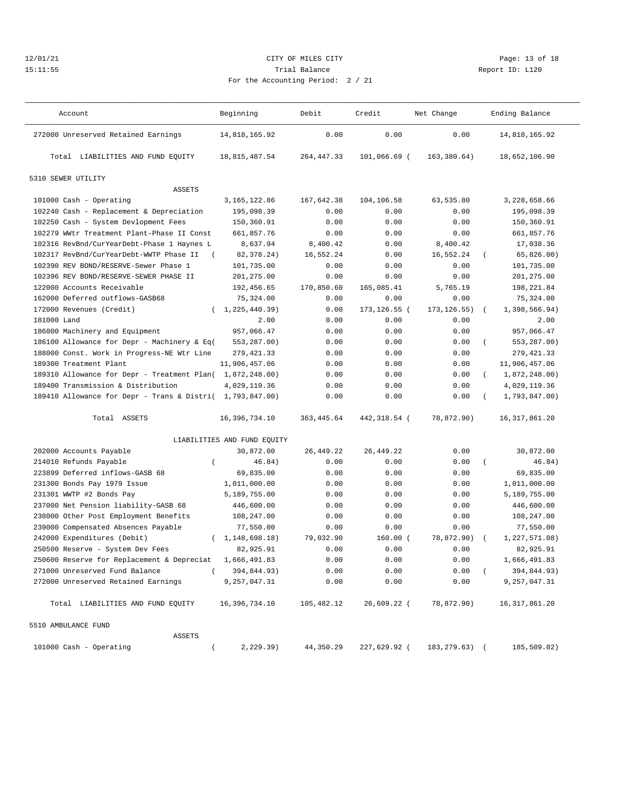#### 12/01/21 Page: 13 of 18 15:11:55 Trial Balance Report ID: L120 For the Accounting Period: 2 / 21

———————————————————————————————————————————————————————————————————————————————————————————————————————————————————————————————————

Total LIABILITIES AND FUND EQUITY 18,815,487.54 264,447.33 101,066.69 ( 163,380.64) 18,652,106.90

| 10d: 2/21 |  |  |  |
|-----------|--|--|--|

Account and Beginning Debit Credit Net Change Ending Balance ——————————————————————————————————————————————————————————————————————————————————————————————————————————————————————————————————— 272000 Unreserved Retained Earnings 14,818,165.92 0.00 0.00 0.00 14,818,165.92

5310 SEWER UTILITY

5510 AMBULANCE FUND

ASSETS

| ASSETS                                                     |                             |            |              |                   |            |                 |
|------------------------------------------------------------|-----------------------------|------------|--------------|-------------------|------------|-----------------|
| 101000 Cash - Operating                                    | 3, 165, 122.86              | 167,642.38 | 104,106.58   | 63,535.80         |            | 3,228,658.66    |
| 102240 Cash - Replacement & Depreciation                   | 195,098.39                  | 0.00       | 0.00         | 0.00              |            | 195,098.39      |
| 102250 Cash - System Devlopment Fees                       | 150,360.91                  | 0.00       | 0.00         | 0.00              |            | 150,360.91      |
| 102279 WWtr Treatment Plant-Phase II Const                 | 661,857.76                  | 0.00       | 0.00         | 0.00              |            | 661,857.76      |
| 102316 RevBnd/CurYearDebt-Phase 1 Haynes L                 | 8,637.94                    | 8,400.42   | 0.00         | 8,400.42          |            | 17,038.36       |
| 102317 RevBnd/CurYearDebt-WWTP Phase II                    | 82,378.24)<br>$\sqrt{2}$    | 16,552.24  | 0.00         | 16,552.24         | $\left($   | 65,826.00)      |
| 102390 REV BOND/RESERVE-Sewer Phase 1                      | 101,735.00                  | 0.00       | 0.00         | 0.00              |            | 101,735.00      |
| 102396 REV BOND/RESERVE-SEWER PHASE II                     | 201,275.00                  | 0.00       | 0.00         | 0.00              |            | 201,275.00      |
| 122000 Accounts Receivable                                 | 192,456.65                  | 170,850.60 | 165,085.41   | 5,765.19          |            | 198,221.84      |
| 162000 Deferred outflows-GASB68                            | 75,324.00                   | 0.00       | 0.00         | 0.00              |            | 75,324.00       |
| 172000 Revenues (Credit)                                   | (1, 225, 440, 39)           | 0.00       | 173,126.55 ( | $173, 126.55$ ) ( |            | 1,398,566.94)   |
| 181000 Land                                                | 2.00                        | 0.00       | 0.00         | 0.00              |            | 2.00            |
| 186000 Machinery and Equipment                             | 957,066.47                  | 0.00       | 0.00         | 0.00              |            | 957,066.47      |
| 186100 Allowance for Depr - Machinery & Eq( $553,287.00$ ) |                             | 0.00       | 0.00         | 0.00              | $\left($   | 553,287.00)     |
| 188000 Const. Work in Progress-NE Wtr Line                 | 279,421.33                  | 0.00       | 0.00         | 0.00              |            | 279, 421.33     |
| 189300 Treatment Plant                                     | 11,906,457.06               | 0.00       | 0.00         | 0.00              |            | 11,906,457.06   |
| 189310 Allowance for Depr - Treatment Plan( 1,872,248.00)  |                             | 0.00       | 0.00         | 0.00              | $\sqrt{2}$ | 1,872,248.00)   |
| 189400 Transmission & Distribution                         | 4,029,119.36                | 0.00       | 0.00         | 0.00              |            | 4,029,119.36    |
| 189410 Allowance for Depr - Trans & Distri( 1,793,847.00)  |                             | 0.00       | 0.00         | 0.00              | $\left($   | 1,793,847.00)   |
| Total ASSETS                                               | 16,396,734.10               | 363,445.64 | 442,318.54 ( | 78,872.90)        |            | 16, 317, 861.20 |
|                                                            | LIABILITIES AND FUND EQUITY |            |              |                   |            |                 |
| 202000 Accounts Payable                                    | 30,872.00                   | 26,449.22  | 26, 449.22   | 0.00              |            | 30,872.00       |
| 214010 Refunds Payable                                     | 46.84)                      | 0.00       | 0.00         | 0.00              |            | 46.84)          |
| 223899 Deferred inflows-GASB 68                            | 69,835.00                   | 0.00       | 0.00         | 0.00              |            | 69,835.00       |
| 231300 Bonds Pay 1979 Issue                                | 1,011,000.00                | 0.00       | 0.00         | 0.00              |            | 1,011,000.00    |
| 231301 WWTP #2 Bonds Pay                                   | 5,189,755.00                | 0.00       | 0.00         | 0.00              |            | 5,189,755.00    |
| 237000 Net Pension liability-GASB 68                       | 446,600.00                  | 0.00       | 0.00         | 0.00              |            | 446,600.00      |
| 238000 Other Post Employment Benefits                      | 108,247.00                  | 0.00       | 0.00         | 0.00              |            | 108,247.00      |

 239000 Compensated Absences Payable 77,550.00 0.00 0.00 0.00 77,550.00 242000 Expenditures (Debit) ( 1,148,698.18) 79,032.90 160.00 ( 78,872.90) ( 1,227,571.08) 242000 Expenditures (Debit) ( $1,148,698.18$ )  $79,032.90$ <br>250500 Reserve - System Dev Fees 82,925.91 0.00 0.00 0.00 0.00 82,925.91<br>250600 Reserve for Replacement & Depreciat 1,666,491.83 0.00 0.00 0.00 1,666,491.83 250600 Reserve for Replacement & Depreciat 1,666,491.83 0.00 0.00 0.00 1,666,491.83 271000 Unreserved Fund Balance ( 394,844.93) 0.00 0.00 0.00 0.00 0.00 0.00<br>272000 Unreserved Retained Earnings 9,257,047.31 0.00 0.00 0.00 0.00 9,257,047.31 272000 Unreserved Retained Earnings 9,257,047.31 0.00 0.00 0.00 9,257,047.31

Total LIABILITIES AND FUND EQUITY 16,396,734.10 105,482.12 26,609.22 ( 78,872.90) 16,317,861.20

101000 Cash - Operating ( 2,229.39) 44,350.29 227,629.92 ( 183,279.63) ( 185,509.02)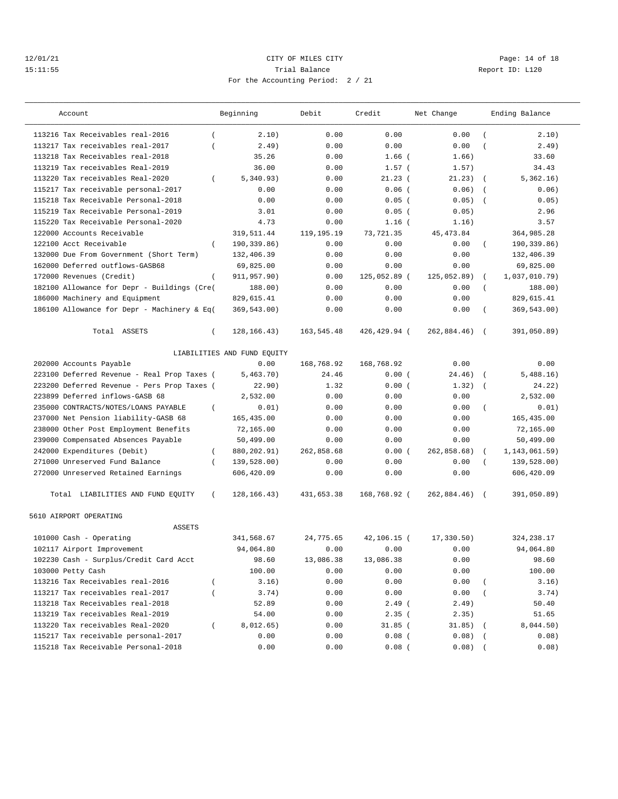## 12/01/21 Page: 14 of 18 15:11:55 Trial Balance Report ID: L120 For the Accounting Period: 2 / 21

| Account                                                                 |                | Beginning                   | Debit        | Credit              | Net Change      |                | Ending Balance     |
|-------------------------------------------------------------------------|----------------|-----------------------------|--------------|---------------------|-----------------|----------------|--------------------|
| 113216 Tax Receivables real-2016                                        | $\left($       | 2.10)                       | 0.00         | 0.00                | 0.00            | $\overline{ }$ | 2.10)              |
| 113217 Tax receivables real-2017                                        | $\overline{ }$ | 2.49)                       | 0.00         | 0.00                | 0.00            |                | 2.49)              |
| 113218 Tax Receivables real-2018                                        |                | 35.26                       | 0.00         | $1.66$ (            | 1.66)           |                | 33.60              |
| 113219 Tax receivables Real-2019                                        |                | 36.00                       | 0.00         | $1.57$ (            | 1.57)           |                | 34.43              |
| 113220 Tax receivables Real-2020                                        | $\left($       | 5,340.93)                   | 0.00         | 21.23(              | 21.23)          | $\left($       | 5,362.16)          |
| 115217 Tax receivable personal-2017                                     |                | 0.00                        | 0.00         | $0.06$ (            | 0.06)           | $\overline{ }$ | 0.06)              |
| 115218 Tax Receivable Personal-2018                                     |                | 0.00                        | 0.00         | $0.05$ (            | 0.05)           |                | 0.05)              |
| 115219 Tax Receivable Personal-2019                                     |                | 3.01                        | 0.00         | $0.05$ (            | 0.05)           |                | 2.96               |
| 115220 Tax Receivable Personal-2020                                     |                | 4.73                        | 0.00         | $1.16$ (            | 1.16)           |                | 3.57               |
| 122000 Accounts Receivable                                              |                | 319,511.44                  | 119,195.19   | 73,721.35           | 45, 473.84      |                | 364,985.28         |
| 122100 Acct Receivable                                                  | $\left($       | 190,339.86)                 | 0.00         | 0.00                | 0.00            | $\left($       | 190,339.86)        |
| 132000 Due From Government (Short Term)                                 |                | 132,406.39                  | 0.00         | 0.00                | 0.00            |                | 132,406.39         |
| 162000 Deferred outflows-GASB68                                         |                | 69,825.00                   | 0.00         | 0.00                | 0.00            |                | 69,825.00          |
| 172000 Revenues (Credit)                                                | $\left($       | 911,957.90)                 | 0.00         | 125,052.89 (        | 125,052.89)     | $\left($       | 1,037,010.79)      |
| 182100 Allowance for Depr - Buildings (Cre(                             |                | 188.00)                     | 0.00         | 0.00                | 0.00            | $\left($       | 188.00)            |
| 186000 Machinery and Equipment                                          |                | 829,615.41                  | 0.00         | 0.00                | 0.00            |                | 829,615.41         |
| 186100 Allowance for Depr - Machinery & Eq(                             |                | 369,543.00)                 | 0.00         | 0.00                | 0.00            |                | 369,543.00)        |
| Total ASSETS                                                            | $\left($       | 128, 166. 43)               | 163,545.48   | 426,429.94 (        | 262,884.46)     | $\sqrt{2}$     | 391,050.89)        |
|                                                                         |                | LIABILITIES AND FUND EQUITY |              |                     |                 |                |                    |
| 202000 Accounts Payable                                                 |                | 0.00                        | 168,768.92   | 168,768.92          | 0.00            |                | 0.00               |
| 223100 Deferred Revenue - Real Prop Taxes (                             |                | 5,463.70)                   | 24.46        | 0.00(               | 24.46)          | $\sqrt{ }$     | 5,488.16)          |
| 223200 Deferred Revenue - Pers Prop Taxes (                             |                | 22.90)                      | 1.32         | 0.00(               | 1.32)           | $\sqrt{ }$     | 24.22)             |
| 223899 Deferred inflows-GASB 68                                         |                | 2,532.00                    | 0.00         | 0.00                | 0.00            |                | 2,532.00           |
| 235000 CONTRACTS/NOTES/LOANS PAYABLE                                    | $\left($       | 0.01)                       | 0.00         | 0.00                | 0.00            | $\overline{ }$ | 0.01)              |
| 237000 Net Pension liability-GASB 68                                    |                | 165,435.00                  | 0.00         | 0.00                | 0.00            |                | 165,435.00         |
| 238000 Other Post Employment Benefits                                   |                | 72,165.00                   | 0.00         | 0.00                | 0.00            |                | 72,165.00          |
| 239000 Compensated Absences Payable                                     |                | 50,499.00                   | 0.00         | 0.00                | 0.00            |                | 50,499.00          |
| 242000 Expenditures (Debit)                                             | $\left($       | 880, 202.91)                | 262,858.68   | 0.00(               | 262,858.68)     | $\left($       | 1,143,061.59)      |
| 271000 Unreserved Fund Balance                                          | $\left($       | 139,528.00)                 | 0.00         | 0.00                | 0.00            |                | 139,528.00)        |
| 272000 Unreserved Retained Earnings                                     |                | 606,420.09                  | 0.00         | 0.00                | 0.00            |                | 606,420.09         |
| Total LIABILITIES AND FUND EQUITY                                       | $\left($       | 128, 166. 43)               | 431,653.38   | 168,768.92 (        | 262,884.46)     | $\sqrt{2}$     | 391,050.89)        |
| 5610 AIRPORT OPERATING<br><b>ASSETS</b>                                 |                |                             |              |                     |                 |                |                    |
| 101000 Cash - Operating                                                 |                | 341,568.67                  | 24,775.65    | 42,106.15 (         | 17,330.50)      |                | 324, 238.17        |
| 102117 Airport Improvement                                              |                | 94,064.80                   | 0.00         | 0.00                | 0.00            |                | 94,064.80          |
| 102230 Cash - Surplus/Credit Card Acct                                  |                | 98.60                       | 13,086.38    | 13,086.38           | 0.00            |                | 98.60              |
| 103000 Petty Cash                                                       |                | 100.00                      | 0.00         | 0.00                |                 |                | 100.00             |
| 113216 Tax Receivables real-2016                                        | $\overline{ }$ | 3.16)                       | 0.00         | 0.00                | 0.00<br>0.00    |                | 3.16)              |
| 113217 Tax receivables real-2017                                        |                | 3.74)                       | 0.00         | 0.00                |                 |                | 3.74)              |
| 113218 Tax Receivables real-2018                                        |                |                             | 0.00         |                     | 0.00            |                |                    |
| 113219 Tax receivables Real-2019                                        |                | 52.89<br>54.00              |              | $2.49$ (            | 2.49)           |                | 50.40              |
|                                                                         |                |                             | 0.00         | 2.35(               | 2.35)           |                | 51.65              |
| 113220 Tax receivables Real-2020<br>115217 Tax receivable personal-2017 | $\left($       | 8,012.65)<br>0.00           | 0.00         | 31.85 (<br>$0.08$ ( | 31.85)<br>0.08) |                | 8,044.50)<br>0.08) |
| 115218 Tax Receivable Personal-2018                                     |                | 0.00                        | 0.00<br>0.00 | $0.08$ (            | 0.08)           |                | 0.08)              |
|                                                                         |                |                             |              |                     |                 |                |                    |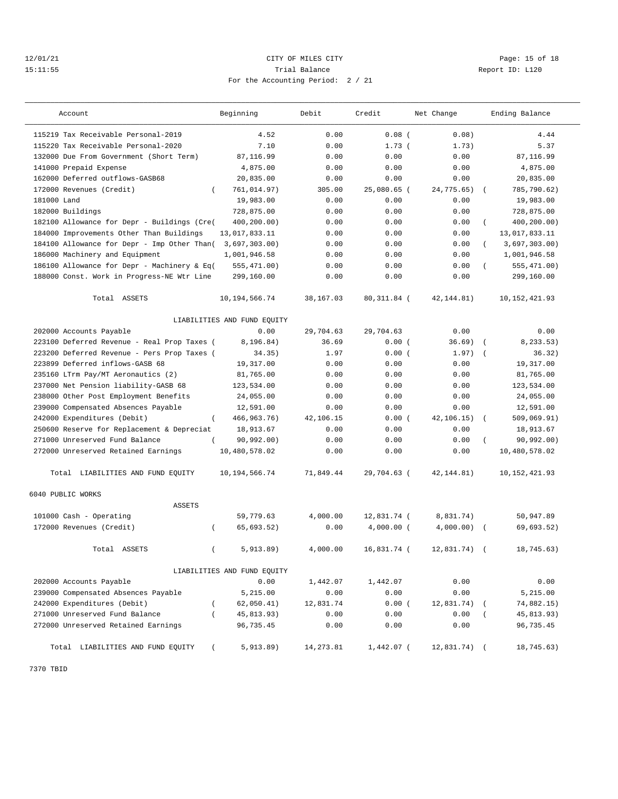## 12/01/21 **CITY OF MILES CITY CITY CITY Page: 15 of 18** 15:11:55 Trial Balance Report ID: L120 For the Accounting Period: 2 / 21

| Account                                       | Beginning                   | Debit     | Credit       | Net Change  |                | Ending Balance  |
|-----------------------------------------------|-----------------------------|-----------|--------------|-------------|----------------|-----------------|
| 115219 Tax Receivable Personal-2019           | 4.52                        | 0.00      | $0.08$ (     | 0.08)       |                | 4.44            |
| 115220 Tax Receivable Personal-2020           | 7.10                        | 0.00      | 1.73(        | 1.73)       |                | 5.37            |
| 132000 Due From Government (Short Term)       | 87,116.99                   | 0.00      | 0.00         | 0.00        |                | 87,116.99       |
| 141000 Prepaid Expense                        | 4,875.00                    | 0.00      | 0.00         | 0.00        |                | 4,875.00        |
| 162000 Deferred outflows-GASB68               | 20,835.00                   | 0.00      | 0.00         | 0.00        |                | 20,835.00       |
| 172000 Revenues (Credit)<br>$\left($          | 761,014.97)                 | 305.00    | 25,080.65 (  | 24,775.65)  | $\sqrt{2}$     | 785,790.62)     |
| 181000 Land                                   | 19,983.00                   | 0.00      | 0.00         | 0.00        |                | 19,983.00       |
| 182000 Buildings                              | 728,875.00                  | 0.00      | 0.00         | 0.00        |                | 728,875.00      |
| 182100 Allowance for Depr - Buildings (Cre(   | 400,200.00)                 | 0.00      | 0.00         | 0.00        | $\left($       | 400,200.00)     |
| 184000 Improvements Other Than Buildings      | 13,017,833.11               | 0.00      | 0.00         | 0.00        |                | 13,017,833.11   |
| 184100 Allowance for Depr - Imp Other Than(   | 3,697,303.00                | 0.00      | 0.00         | 0.00        | $\left($       | 3,697,303.00)   |
| 186000 Machinery and Equipment                | 1,001,946.58                | 0.00      | 0.00         | 0.00        |                | 1,001,946.58    |
| 186100 Allowance for Depr - Machinery & Eq(   | 555,471.00)                 | 0.00      | 0.00         | 0.00        |                | 555,471.00)     |
| 188000 Const. Work in Progress-NE Wtr Line    | 299,160.00                  | 0.00      | 0.00         | 0.00        |                | 299,160.00      |
| Total ASSETS                                  | 10, 194, 566. 74            | 38,167.03 | 80, 311.84 ( | 42, 144.81) |                | 10, 152, 421.93 |
|                                               | LIABILITIES AND FUND EQUITY |           |              |             |                |                 |
| 202000 Accounts Payable                       | 0.00                        | 29,704.63 | 29,704.63    | 0.00        |                | 0.00            |
| 223100 Deferred Revenue - Real Prop Taxes (   | 8,196.84)                   | 36.69     | 0.00(        | 36.69)      | $\left($       | 8,233.53)       |
| 223200 Deferred Revenue - Pers Prop Taxes (   | 34.35)                      | 1.97      | 0.00(        | 1.97)       | $\sqrt{ }$     | 36.32)          |
| 223899 Deferred inflows-GASB 68               | 19,317.00                   | 0.00      | 0.00         | 0.00        |                | 19,317.00       |
| 235160 LTrm Pav/MT Aeronautics (2)            | 81,765.00                   | 0.00      | 0.00         | 0.00        |                | 81,765.00       |
| 237000 Net Pension liability-GASB 68          | 123,534.00                  | 0.00      | 0.00         | 0.00        |                | 123,534.00      |
| 238000 Other Post Employment Benefits         | 24,055.00                   | 0.00      | 0.00         | 0.00        |                | 24,055.00       |
| 239000 Compensated Absences Payable           | 12,591.00                   | 0.00      | 0.00         | 0.00        |                | 12,591.00       |
| 242000 Expenditures (Debit)<br>$\overline{ }$ | 466, 963. 76)               | 42,106.15 | 0.00(        | 42,106.15)  | $\overline{ }$ | 509,069.91)     |
| 250600 Reserve for Replacement & Depreciat    | 18,913.67                   | 0.00      | 0.00         | 0.00        |                | 18,913.67       |
| 271000 Unreserved Fund Balance<br>$\left($    | 90, 992.00)                 | 0.00      | 0.00         | 0.00        | $\left($       | 90,992.00)      |
| 272000 Unreserved Retained Earnings           | 10,480,578.02               | 0.00      | 0.00         | 0.00        |                | 10,480,578.02   |
| Total LIABILITIES AND FUND EQUITY             | 10,194,566.74               | 71,849.44 | 29,704.63 (  | 42, 144.81) |                | 10, 152, 421.93 |
| 6040 PUBLIC WORKS<br><b>ASSETS</b>            |                             |           |              |             |                |                 |
| 101000 Cash - Operating                       | 59,779.63                   | 4,000.00  | 12,831.74 (  | 8,831.74)   |                | 50,947.89       |
| 172000 Revenues (Credit)<br>$\left($          | 65,693.52)                  | 0.00      | $4.000.00$ ( | 4,000.00)   |                | 69,693.52)      |
|                                               |                             |           |              |             |                |                 |
| Total ASSETS<br>$\left($                      | 5,913.89)                   | 4,000.00  | 16,831.74 (  | 12,831.74)  |                | 18,745.63)      |
|                                               | LIABILITIES AND FUND EQUITY |           |              |             |                |                 |
| 202000 Accounts Payable                       | 0.00                        | 1,442.07  | 1,442.07     | 0.00        |                | 0.00            |
| 239000 Compensated Absences Payable           | 5,215.00                    | 0.00      | 0.00         | 0.00        |                | 5,215.00        |
| 242000 Expenditures (Debit)                   | 62,050.41)                  | 12,831.74 | 0.00(        | 12,831.74)  |                | 74,882.15)      |
| 271000 Unreserved Fund Balance                | 45,813.93)                  | 0.00      | 0.00         | 0.00        |                | 45,813.93)      |
| 272000 Unreserved Retained Earnings           | 96,735.45                   | 0.00      | 0.00         | 0.00        |                | 96,735.45       |
| Total LIABILITIES AND FUND EQUITY             | 5,913.89)                   | 14,273.81 | 1,442.07 (   | 12,831.74)  |                | 18,745.63)      |

7370 TBID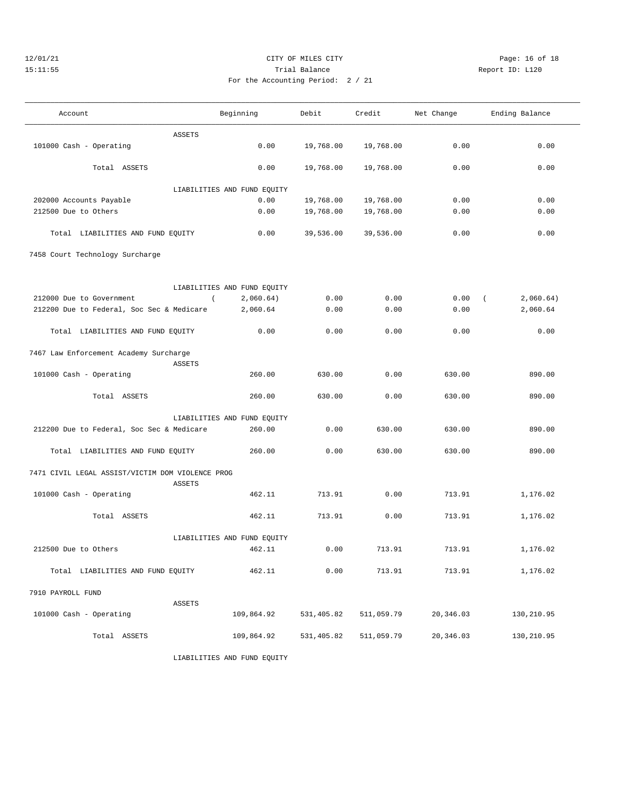7458 Court Technology Surcharge

## 12/01/21 Page: 16 of 18 CITY OF MILES CITY CHEMIC PAGE: 16 of 18 15:11:55 Trial Balance Report ID: L120 For the Accounting Period: 2 / 21

——————————————————————————————————————————————————————————————————————————————————————————————————————————————————————————————————— Account and Beginning Debit Credit Net Change Ending Balance ———————————————————————————————————————————————————————————————————————————————————————————————————————————————————————————————————

101000 Cash - Operating 0.00 19,768.00 19,768.00 0.00 0.00

ASSETS

| $-1$ ng Domina <sup>1</sup> (1) |  |  |
|---------------------------------|--|--|

 Total ASSETS 0.00 19,768.00 19,768.00 0.00 0.00 LIABILITIES AND FUND EQUITY 202000 Accounts Payable 0.00 19,768.00 19,768.00 0.00 0.00 212500 Due to Others 0.00 19,768.00 19,768.00 0.00 0.00 Total LIABILITIES AND FUND EQUITY 0.00 39,536.00 39,536.00 0.00 0.00

|                                                    | LIABILITIES AND FUND EQUITY |            |            |                      |                       |
|----------------------------------------------------|-----------------------------|------------|------------|----------------------|-----------------------|
| 212000 Due to Government                           | 2,060.64)                   | 0.00       | 0.00       |                      | $0.00$ (<br>2,060.64) |
| 212200 Due to Federal, Soc Sec & Medicare 2,060.64 |                             | 0.00       | 0.00       | 0.00                 | 2,060.64              |
| Total LIABILITIES AND FUND EQUITY                  | 0.00                        | 0.00       | 0.00       | 0.00                 | 0.00                  |
| 7467 Law Enforcement Academy Surcharge             |                             |            |            |                      |                       |
| ASSETS                                             |                             |            |            |                      |                       |
| 101000 Cash - Operating                            | 260.00                      | 630.00     | 0.00       | 630.00               | 890.00                |
| Total ASSETS                                       | 260.00                      | 630.00     | 0.00       | 630.00               | 890.00                |
|                                                    | LIABILITIES AND FUND EQUITY |            |            |                      |                       |
| 212200 Due to Federal, Soc Sec & Medicare          | 260.00                      | 0.00       | 630.00     | 630.00               | 890.00                |
| Total LIABILITIES AND FUND EQUITY                  | 260.00                      | 0.00       | 630.00     | 630.00               | 890.00                |
| 7471 CIVIL LEGAL ASSIST/VICTIM DOM VIOLENCE PROG   |                             |            |            |                      |                       |
| ASSETS                                             |                             |            |            |                      |                       |
| 101000 Cash - Operating                            | 462.11                      | 713.91     | 0.00       | 713.91               | 1,176.02              |
| Total ASSETS                                       | 462.11                      | 713.91     | 0.00       | 713.91               | 1,176.02              |
|                                                    | LIABILITIES AND FUND EQUITY |            |            |                      |                       |
| 212500 Due to Others                               | 462.11                      | 0.00       | 713.91     | 713.91               | 1,176.02              |
| Total LIABILITIES AND FUND EQUITY                  | 462.11                      | 0.00       | 713.91     | 713.91               | 1,176.02              |
| 7910 PAYROLL FUND                                  |                             |            |            |                      |                       |
| <b>ASSETS</b>                                      |                             |            |            |                      |                       |
| 101000 Cash - Operating                            | 109,864.92                  | 531,405.82 |            | 511,059.79 20,346.03 | 130,210.95            |
| Total ASSETS                                       | 109,864.92                  | 531,405.82 | 511,059.79 | 20,346.03            | 130,210.95            |

LIABILITIES AND FUND EQUITY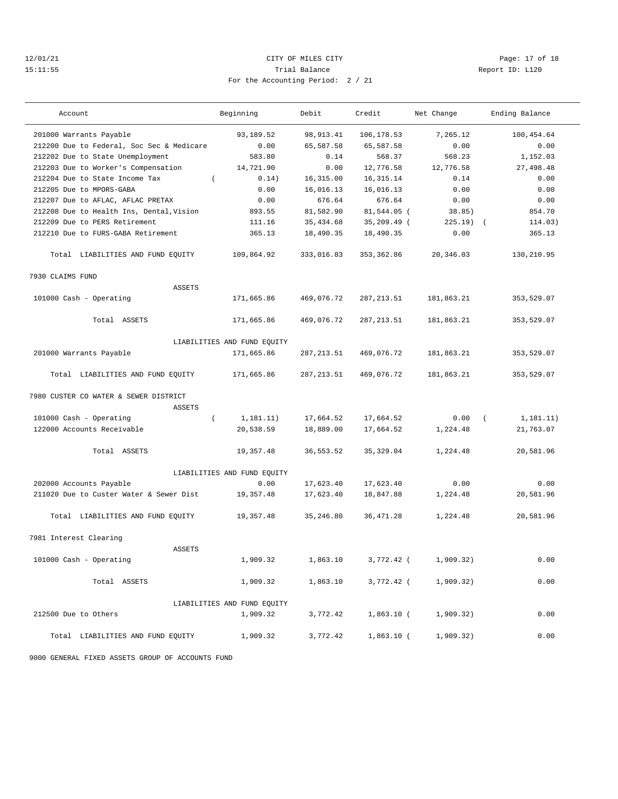#### 12/01/21 Page: 17 of 18 15:11:55 Trial Balance Report ID: L120 For the Accounting Period: 2 / 21

|  | Repor |
|--|-------|
|  |       |

| Account                                         | Beginning                   | Debit       | Credit       | Net Change   | Ending Balance         |
|-------------------------------------------------|-----------------------------|-------------|--------------|--------------|------------------------|
| 201000 Warrants Payable                         | 93,189.52                   | 98, 913.41  | 106,178.53   | 7,265.12     | 100,454.64             |
| 212200 Due to Federal, Soc Sec & Medicare       | 0.00                        | 65,587.58   | 65,587.58    | 0.00         | 0.00                   |
| 212202 Due to State Unemployment                | 583.80                      | 0.14        | 568.37       | 568.23       | 1,152.03               |
| 212203 Due to Worker's Compensation             | 14,721.90                   | 0.00        | 12,776.58    | 12,776.58    | 27,498.48              |
| 212204 Due to State Income Tax<br>$\left($      | 0.14)                       | 16,315.00   | 16, 315. 14  | 0.14         | 0.00                   |
| 212205 Due to MPORS-GABA                        | 0.00                        | 16,016.13   | 16,016.13    | 0.00         | 0.00                   |
| 212207 Due to AFLAC, AFLAC PRETAX               | 0.00                        | 676.64      | 676.64       | 0.00         | 0.00                   |
| 212208 Due to Health Ins, Dental, Vision        | 893.55                      | 81,582.90   | 81,544.05 (  | 38.85)       | 854.70                 |
| 212209 Due to PERS Retirement                   | 111.16                      | 35,434.68   | 35,209.49 (  | $225.19$ $($ | 114.03)                |
| 212210 Due to FURS-GABA Retirement              | 365.13                      | 18,490.35   | 18,490.35    | 0.00         | 365.13                 |
| Total LIABILITIES AND FUND EQUITY               | 109,864.92                  | 333,016.83  | 353, 362.86  | 20,346.03    | 130,210.95             |
| 7930 CLAIMS FUND                                |                             |             |              |              |                        |
| <b>ASSETS</b>                                   |                             |             |              |              |                        |
| 101000 Cash - Operating                         | 171,665.86                  | 469,076.72  | 287, 213.51  | 181,863.21   | 353,529.07             |
| Total ASSETS                                    | 171,665.86                  | 469,076.72  | 287, 213.51  | 181,863.21   | 353,529.07             |
|                                                 | LIABILITIES AND FUND EQUITY |             |              |              |                        |
| 201000 Warrants Payable                         | 171,665.86                  | 287, 213.51 | 469,076.72   | 181,863.21   | 353,529.07             |
| Total LIABILITIES AND FUND EQUITY               | 171,665.86                  | 287, 213.51 | 469,076.72   | 181,863.21   | 353,529.07             |
| 7980 CUSTER CO WATER & SEWER DISTRICT<br>ASSETS |                             |             |              |              |                        |
| 101000 Cash - Operating                         | $\left($<br>1,181.11)       | 17,664.52   | 17,664.52    | 0.00         | 1, 181.11)<br>$\left($ |
| 122000 Accounts Receivable                      | 20,538.59                   | 18,889.00   | 17,664.52    | 1,224.48     | 21,763.07              |
|                                                 |                             |             |              |              |                        |
| Total ASSETS                                    | 19,357.48                   | 36, 553.52  | 35, 329.04   | 1,224.48     | 20,581.96              |
|                                                 | LIABILITIES AND FUND EQUITY |             |              |              |                        |
| 202000 Accounts Payable                         | 0.00                        | 17,623.40   | 17,623.40    | 0.00         | 0.00                   |
| 211020 Due to Custer Water & Sewer Dist         | 19,357.48                   | 17,623.40   | 18,847.88    | 1,224.48     | 20,581.96              |
| Total LIABILITIES AND FUND EQUITY               | 19,357.48                   | 35, 246.80  | 36, 471.28   | 1,224.48     | 20,581.96              |
| 7981 Interest Clearing                          |                             |             |              |              |                        |
| <b>ASSETS</b>                                   |                             |             |              |              |                        |
| 101000 Cash - Operating                         | 1,909.32                    | 1,863.10    | 3,772.42 (   | 1,909.32)    | 0.00                   |
| Total ASSETS                                    | 1,909.32                    | 1,863.10    | 3,772.42 (   | 1,909.32)    | 0.00                   |
|                                                 | LIABILITIES AND FUND EQUITY |             |              |              |                        |
| 212500 Due to Others                            | 1,909.32                    | 3,772.42    | $1,863.10$ ( | 1,909.32)    | 0.00                   |
| Total LIABILITIES AND FUND EQUITY               | 1,909.32                    | 3,772.42    | 1,863.10 (   | 1,909.32)    | 0.00                   |

9000 GENERAL FIXED ASSETS GROUP OF ACCOUNTS FUND